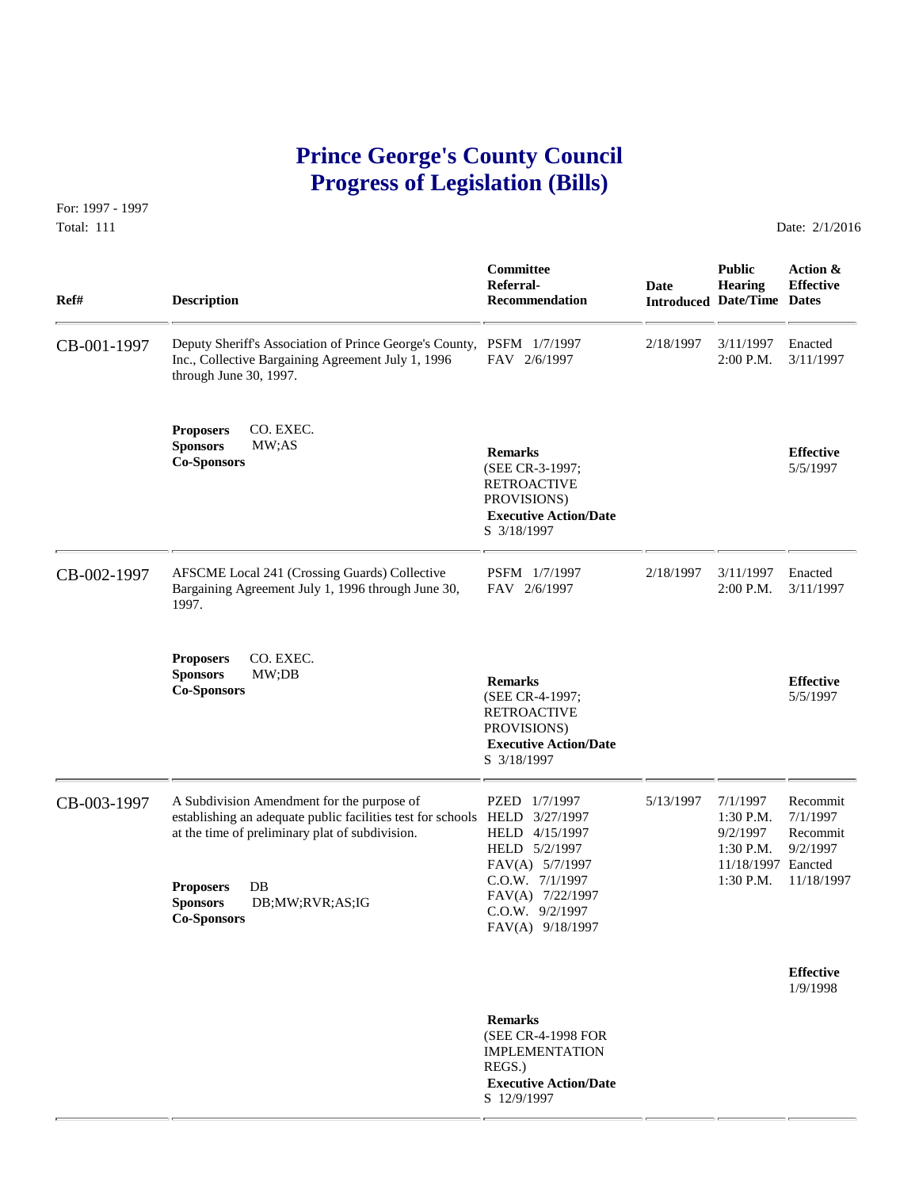# **Prince George's County Council Progress of Legislation (Bills)**

For: 1997 - 1997 Total: 111 Date: 2/1/2016

 **Committee Public Action & Referral- Date Hearing Effective Ref# Description Recommendation Introduced Date/Time Dates** CB-001-1997 Deputy Sheriff's Association of Prince George's County, PSFM 1/7/1997 2/18/1997 3/11/1997 Enacted<br>Inc., Collective Bargaining Agreement July 1, 1996 FAV 2/6/1997 2:00 P.M. 3/11/1997 Inc., Collective Bargaining Agreement July 1, 1996 through June 30, 1997. **Proposers** CO. EXEC. **Sponsors** MW;AS **Remarks Effective Co-Sponsors** (SEE CR-3-1997; 5/5/1997 RETROACTIVE PROVISIONS)  **Executive Action/Date** S 3/18/1997 CB-002-1997 AFSCME Local 241 (Crossing Guards) Collective PSFM 1/7/1997 2/18/1997 3/11/1997 Enacted<br>Bargaining Agreement July 1, 1996 through June 30, PAV 2/6/1997 2:00 P.M. 3/11/1997 Bargaining Agreement July 1, 1996 through June 30, 1997. **Proposers** CO. EXEC. **Sponsors** MW;DB **Remarks Effective Co-Sponsors** (SEE CR-4-1997; 5/5/1997 RETROACTIVE PROVISIONS)  **Executive Action/Date** S 3/18/1997 CB-003-1997 A Subdivision Amendment for the purpose of PZED 1/7/1997 5/13/1997 7/1/1997 Recommit establishing an adequate public facilities test for schools HELD 3/27/1997 1:30 P.M. 7/1/1997 establishing an adequate public facilities test for schools HELD 3/27/1997 at the time of preliminary plat of subdivision. HELD 4/15/1997 9/2/1997 Recommit HELD 5/2/1997 1:30 P.M. 9/2/1997 FAV(A) 5/7/1997 11/18/1997 Eancted C.O.W. 7/1/1997 1:30 P.M. 11/18/1997 **Proposers** DB FAV(A) 7/22/1997 **Sponsors** DB;MW;RVR;AS;IG C.O.W. 9/2/1997 **Co-Sponsors** FAV(A) 9/18/1997 **Effective** 1/9/1998  **Remarks** (SEE CR-4-1998 FOR IMPLEMENTATION REGS.)  **Executive Action/Date**

S 12/9/1997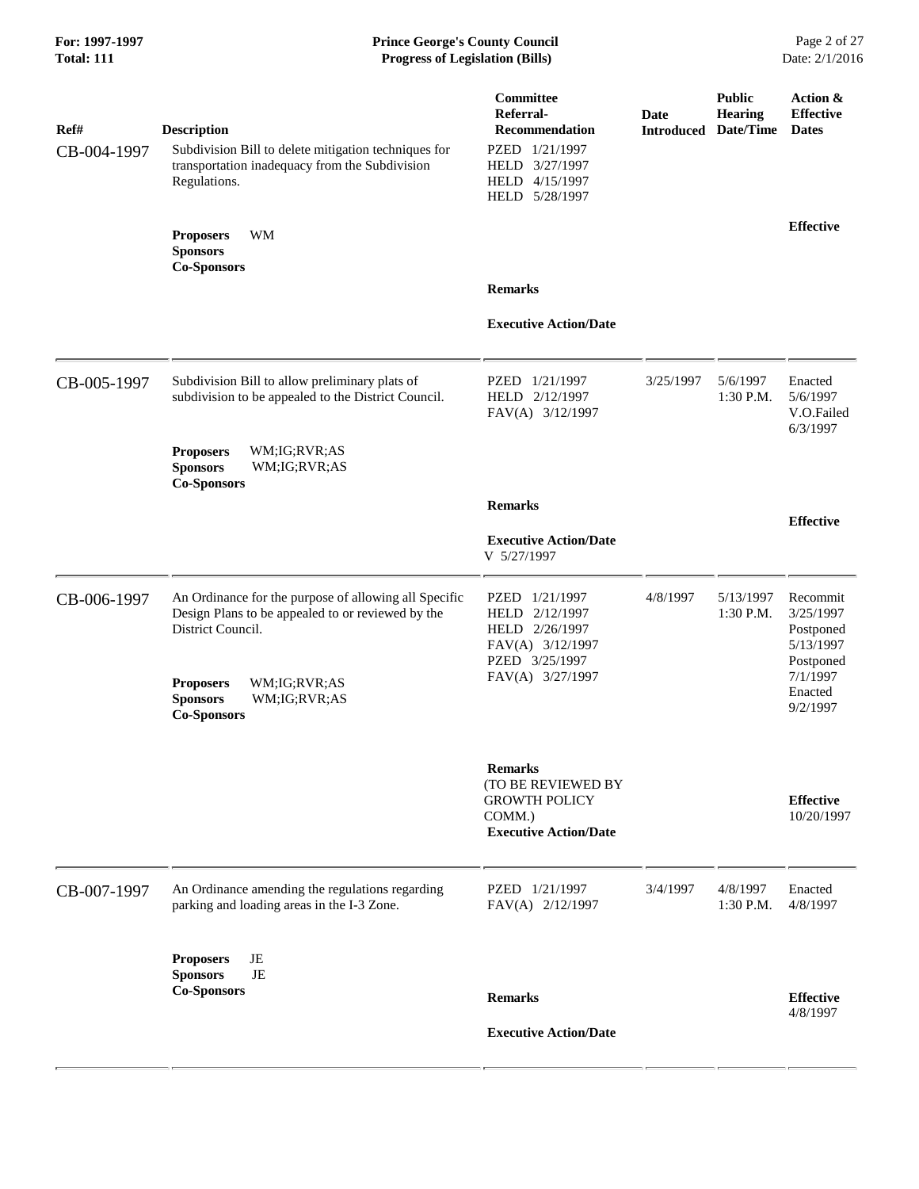# **For: 1997-1997 Prince George's County Council** Page 2 of 27<br> **Prince George's County Council** Page 2 of 27<br> **Progress of Legislation (Bills)** Date: 2/1/2016 **Total: 111 Progress of Legislation (Bills)**

| Ref#<br>CB-004-1997 | <b>Description</b><br>Subdivision Bill to delete mitigation techniques for<br>transportation inadequacy from the Subdivision<br>Regulations. | Committee<br>Referral-<br><b>Recommendation</b><br>PZED 1/21/1997<br>HELD 3/27/1997<br>HELD 4/15/1997<br>HELD 5/28/1997 | <b>Date</b> | <b>Public</b><br>Hearing<br><b>Introduced Date/Time</b> | Action &<br><b>Effective</b><br><b>Dates</b>                 |
|---------------------|----------------------------------------------------------------------------------------------------------------------------------------------|-------------------------------------------------------------------------------------------------------------------------|-------------|---------------------------------------------------------|--------------------------------------------------------------|
|                     | WM<br><b>Proposers</b><br><b>Sponsors</b><br><b>Co-Sponsors</b>                                                                              |                                                                                                                         |             |                                                         | <b>Effective</b>                                             |
|                     |                                                                                                                                              | <b>Remarks</b>                                                                                                          |             |                                                         |                                                              |
|                     |                                                                                                                                              | <b>Executive Action/Date</b>                                                                                            |             |                                                         |                                                              |
| CB-005-1997         | Subdivision Bill to allow preliminary plats of<br>subdivision to be appealed to the District Council.                                        | PZED 1/21/1997<br>HELD 2/12/1997<br>FAV(A) 3/12/1997                                                                    | 3/25/1997   | 5/6/1997<br>1:30 P.M.                                   | Enacted<br>5/6/1997<br>V.O.Failed<br>6/3/1997                |
|                     | <b>Proposers</b><br>WM;IG;RVR;AS<br><b>Sponsors</b><br>WM;IG;RVR;AS<br><b>Co-Sponsors</b>                                                    |                                                                                                                         |             |                                                         |                                                              |
|                     |                                                                                                                                              | <b>Remarks</b>                                                                                                          |             |                                                         | <b>Effective</b>                                             |
|                     |                                                                                                                                              | <b>Executive Action/Date</b><br>V 5/27/1997                                                                             |             |                                                         |                                                              |
| CB-006-1997         | An Ordinance for the purpose of allowing all Specific<br>Design Plans to be appealed to or reviewed by the<br>District Council.              | PZED 1/21/1997<br>HELD 2/12/1997<br>HELD 2/26/1997<br>FAV(A) 3/12/1997<br>PZED 3/25/1997                                | 4/8/1997    | 5/13/1997<br>1:30 P.M.                                  | Recommit<br>3/25/1997<br>Postponed<br>5/13/1997<br>Postponed |
|                     | WM;IG;RVR;AS<br><b>Proposers</b><br><b>Sponsors</b><br>WM;IG;RVR;AS<br><b>Co-Sponsors</b>                                                    | FAV(A) 3/27/1997                                                                                                        |             |                                                         | 7/1/1997<br>Enacted<br>9/2/1997                              |
|                     |                                                                                                                                              | <b>Remarks</b><br>(TO BE REVIEWED BY<br><b>GROWTH POLICY</b><br>COMM.)<br><b>Executive Action/Date</b>                  |             |                                                         | <b>Effective</b><br>10/20/1997                               |
| CB-007-1997         | An Ordinance amending the regulations regarding<br>parking and loading areas in the I-3 Zone.                                                | PZED 1/21/1997<br>FAV(A) 2/12/1997                                                                                      | 3/4/1997    | 4/8/1997<br>1:30 P.M.                                   | Enacted<br>4/8/1997                                          |
|                     | JE<br><b>Proposers</b>                                                                                                                       |                                                                                                                         |             |                                                         |                                                              |
|                     | JE<br><b>Sponsors</b><br><b>Co-Sponsors</b>                                                                                                  | <b>Remarks</b>                                                                                                          |             |                                                         | <b>Effective</b><br>4/8/1997                                 |
|                     |                                                                                                                                              | <b>Executive Action/Date</b>                                                                                            |             |                                                         |                                                              |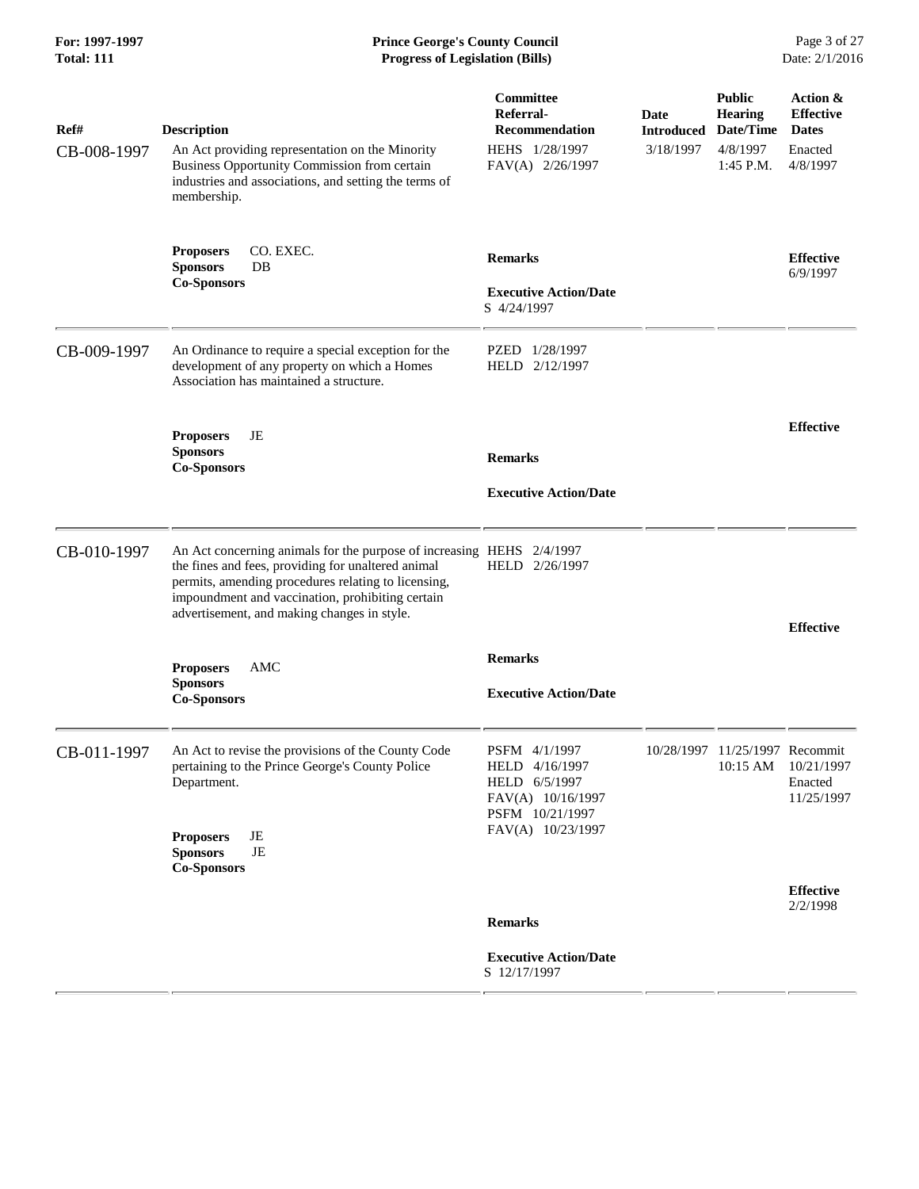| Ref#        | <b>Description</b>                                                                                                                                                                                                                                                                    | <b>Committee</b><br>Referral-<br><b>Recommendation</b>                                                        | Date<br><b>Introduced</b> | <b>Public</b><br>Hearing<br>Date/Time | <b>Action &amp;</b><br><b>Effective</b><br><b>Dates</b> |
|-------------|---------------------------------------------------------------------------------------------------------------------------------------------------------------------------------------------------------------------------------------------------------------------------------------|---------------------------------------------------------------------------------------------------------------|---------------------------|---------------------------------------|---------------------------------------------------------|
| CB-008-1997 | An Act providing representation on the Minority<br>Business Opportunity Commission from certain<br>industries and associations, and setting the terms of<br>membership.                                                                                                               | HEHS 1/28/1997<br>FAV(A) 2/26/1997                                                                            | 3/18/1997                 | 4/8/1997<br>1:45 P.M.                 | Enacted<br>4/8/1997                                     |
|             | CO. EXEC.<br><b>Proposers</b><br><b>Sponsors</b><br>DB<br><b>Co-Sponsors</b>                                                                                                                                                                                                          | <b>Remarks</b><br><b>Executive Action/Date</b><br>S 4/24/1997                                                 |                           |                                       | <b>Effective</b><br>6/9/1997                            |
| CB-009-1997 | An Ordinance to require a special exception for the<br>development of any property on which a Homes<br>Association has maintained a structure.                                                                                                                                        | PZED 1/28/1997<br>HELD 2/12/1997                                                                              |                           |                                       |                                                         |
|             | JE<br><b>Proposers</b><br><b>Sponsors</b><br><b>Co-Sponsors</b>                                                                                                                                                                                                                       | <b>Remarks</b><br><b>Executive Action/Date</b>                                                                |                           |                                       | <b>Effective</b>                                        |
| CB-010-1997 | An Act concerning animals for the purpose of increasing HEHS 2/4/1997<br>the fines and fees, providing for unaltered animal<br>permits, amending procedures relating to licensing,<br>impoundment and vaccination, prohibiting certain<br>advertisement, and making changes in style. | HELD 2/26/1997                                                                                                |                           |                                       | <b>Effective</b>                                        |
|             | <b>AMC</b><br><b>Proposers</b><br><b>Sponsors</b><br><b>Co-Sponsors</b>                                                                                                                                                                                                               | <b>Remarks</b><br><b>Executive Action/Date</b>                                                                |                           |                                       |                                                         |
| CB-011-1997 | An Act to revise the provisions of the County Code<br>pertaining to the Prince George's County Police<br>Department.                                                                                                                                                                  | PSFM 4/1/1997<br>HELD 4/16/1997<br>HELD 6/5/1997<br>FAV(A) 10/16/1997<br>PSFM 10/21/1997<br>FAV(A) 10/23/1997 |                           | 10/28/1997 11/25/1997 Recommit        | 10:15 AM 10/21/1997<br>Enacted<br>11/25/1997            |
|             | JE<br><b>Proposers</b><br>$\rm{JE}$<br><b>Sponsors</b><br><b>Co-Sponsors</b>                                                                                                                                                                                                          |                                                                                                               |                           |                                       | <b>Effective</b>                                        |
|             |                                                                                                                                                                                                                                                                                       | <b>Remarks</b>                                                                                                |                           |                                       | 2/2/1998                                                |
|             |                                                                                                                                                                                                                                                                                       | <b>Executive Action/Date</b><br>S 12/17/1997                                                                  |                           |                                       |                                                         |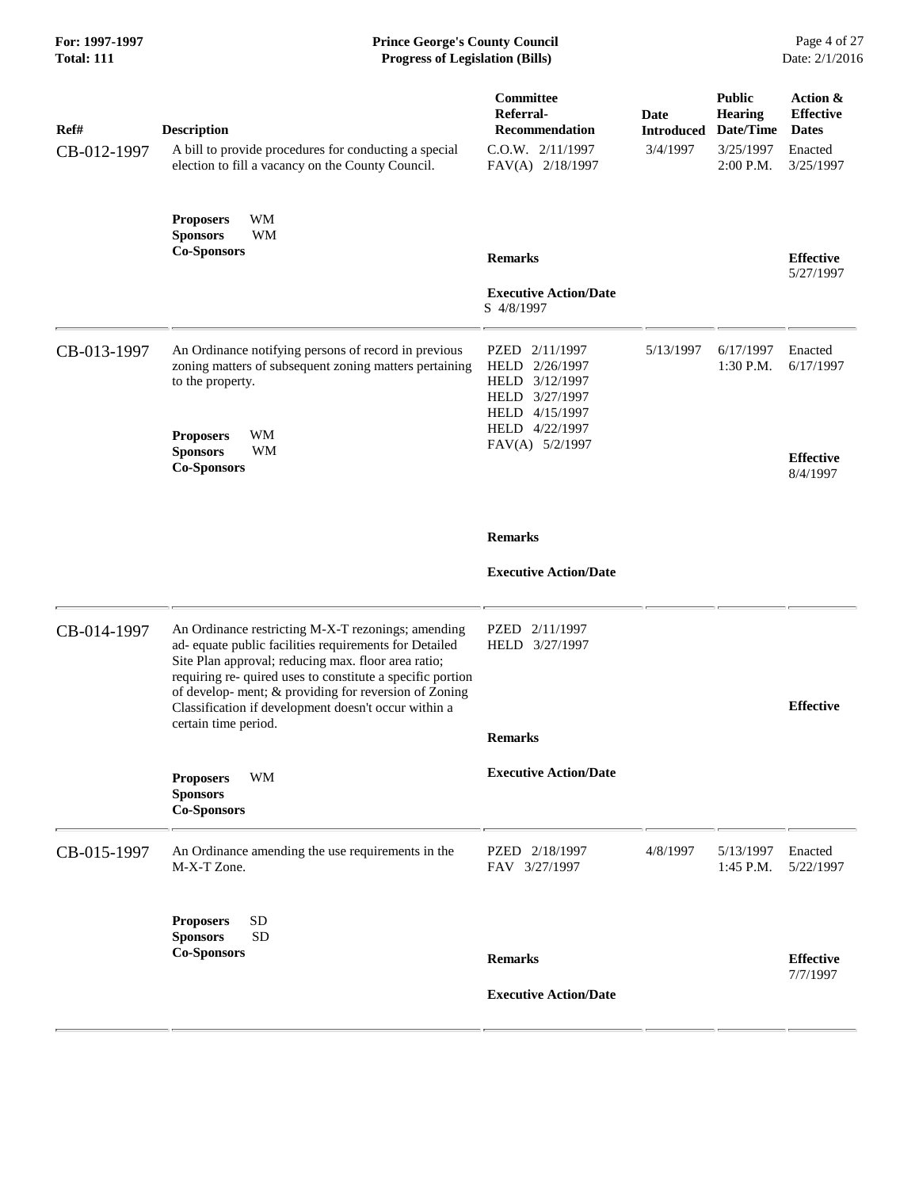| Ref#<br>CB-012-1997 | <b>Description</b><br>A bill to provide procedures for conducting a special<br>election to fill a vacancy on the County Council.                                                                                                                                                                                                                                           | Committee<br>Referral-<br><b>Recommendation</b><br>$C.0.W.$ $2/11/1997$<br>FAV(A) 2/18/1997                                               | <b>Date</b><br><b>Introduced</b><br>3/4/1997 | <b>Public</b><br><b>Hearing</b><br>Date/Time<br>3/25/1997<br>2:00 P.M. | Action &<br><b>Effective</b><br><b>Dates</b><br>Enacted<br>3/25/1997 |
|---------------------|----------------------------------------------------------------------------------------------------------------------------------------------------------------------------------------------------------------------------------------------------------------------------------------------------------------------------------------------------------------------------|-------------------------------------------------------------------------------------------------------------------------------------------|----------------------------------------------|------------------------------------------------------------------------|----------------------------------------------------------------------|
|                     | WM<br><b>Proposers</b><br><b>Sponsors</b><br>WM<br><b>Co-Sponsors</b>                                                                                                                                                                                                                                                                                                      | <b>Remarks</b><br><b>Executive Action/Date</b>                                                                                            |                                              |                                                                        | <b>Effective</b><br>5/27/1997                                        |
| CB-013-1997         | An Ordinance notifying persons of record in previous<br>zoning matters of subsequent zoning matters pertaining<br>to the property.<br>WM<br><b>Proposers</b><br><b>Sponsors</b><br>WM<br><b>Co-Sponsors</b>                                                                                                                                                                | S 4/8/1997<br>PZED 2/11/1997<br>HELD 2/26/1997<br>HELD 3/12/1997<br>HELD 3/27/1997<br>HELD 4/15/1997<br>HELD 4/22/1997<br>FAV(A) 5/2/1997 | 5/13/1997                                    | 6/17/1997<br>$1:30$ P.M.                                               | Enacted<br>6/17/1997<br><b>Effective</b><br>8/4/1997                 |
|                     |                                                                                                                                                                                                                                                                                                                                                                            | <b>Remarks</b><br><b>Executive Action/Date</b>                                                                                            |                                              |                                                                        |                                                                      |
| CB-014-1997         | An Ordinance restricting M-X-T rezonings; amending<br>ad- equate public facilities requirements for Detailed<br>Site Plan approval; reducing max. floor area ratio;<br>requiring re- quired uses to constitute a specific portion<br>of develop- ment; & providing for reversion of Zoning<br>Classification if development doesn't occur within a<br>certain time period. | PZED 2/11/1997<br>HELD 3/27/1997<br><b>Remarks</b>                                                                                        |                                              |                                                                        | <b>Effective</b>                                                     |
|                     | WM<br><b>Proposers</b><br><b>Sponsors</b><br><b>Co-Sponsors</b>                                                                                                                                                                                                                                                                                                            | <b>Executive Action/Date</b>                                                                                                              |                                              |                                                                        |                                                                      |
| CB-015-1997         | An Ordinance amending the use requirements in the<br>M-X-T Zone.                                                                                                                                                                                                                                                                                                           | PZED 2/18/1997<br>FAV 3/27/1997                                                                                                           | 4/8/1997                                     | 5/13/1997<br>$1:45$ P.M.                                               | Enacted<br>5/22/1997                                                 |
|                     | <b>Proposers</b><br><b>SD</b><br><b>SD</b><br><b>Sponsors</b><br><b>Co-Sponsors</b>                                                                                                                                                                                                                                                                                        | <b>Remarks</b><br><b>Executive Action/Date</b>                                                                                            |                                              |                                                                        | <b>Effective</b><br>7/7/1997                                         |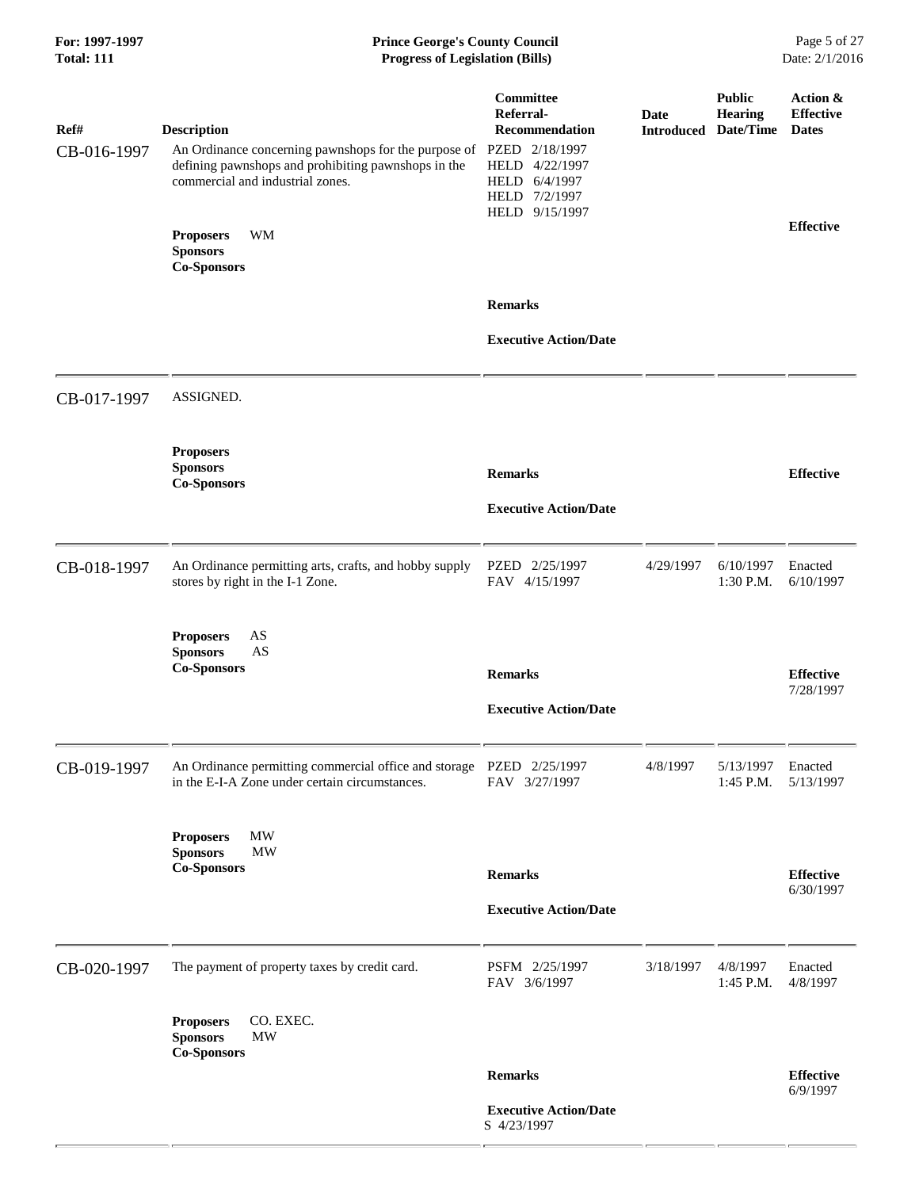# **For: 1997-1997 Prince George's County Council** Page 5 of 27<br> **Prince George's County Council** Page 5 of 27<br> **Progress of Legislation (Bills)** Date: 2/1/2016  $Progress$  of Legislation (Bills)

| Ref#<br>CB-016-1997 | <b>Description</b><br>An Ordinance concerning pawnshops for the purpose of<br>defining pawnshops and prohibiting pawnshops in the<br>commercial and industrial zones. | Committee<br>Referral-<br><b>Recommendation</b><br>PZED 2/18/1997<br>HELD 4/22/1997<br>HELD 6/4/1997<br>HELD 7/2/1997<br>HELD 9/15/1997 | <b>Date</b><br><b>Introduced Date/Time</b> | <b>Public</b><br>Hearing | Action &<br><b>Effective</b><br><b>Dates</b> |
|---------------------|-----------------------------------------------------------------------------------------------------------------------------------------------------------------------|-----------------------------------------------------------------------------------------------------------------------------------------|--------------------------------------------|--------------------------|----------------------------------------------|
|                     | <b>Proposers</b><br>WM<br><b>Sponsors</b><br><b>Co-Sponsors</b>                                                                                                       |                                                                                                                                         |                                            |                          | <b>Effective</b>                             |
|                     |                                                                                                                                                                       | <b>Remarks</b><br><b>Executive Action/Date</b>                                                                                          |                                            |                          |                                              |
| CB-017-1997         | ASSIGNED.                                                                                                                                                             |                                                                                                                                         |                                            |                          |                                              |
|                     | <b>Proposers</b><br><b>Sponsors</b><br><b>Co-Sponsors</b>                                                                                                             | <b>Remarks</b><br><b>Executive Action/Date</b>                                                                                          |                                            |                          | <b>Effective</b>                             |
| CB-018-1997         | An Ordinance permitting arts, crafts, and hobby supply<br>stores by right in the I-1 Zone.                                                                            | PZED 2/25/1997<br>FAV 4/15/1997                                                                                                         | 4/29/1997                                  | 6/10/1997<br>1:30 P.M.   | Enacted<br>6/10/1997                         |
|                     | <b>Proposers</b><br>AS<br>$\mathbf{A}\mathbf{S}$<br><b>Sponsors</b><br><b>Co-Sponsors</b>                                                                             | <b>Remarks</b><br><b>Executive Action/Date</b>                                                                                          |                                            |                          | <b>Effective</b><br>7/28/1997                |
| CB-019-1997         | An Ordinance permitting commercial office and storage<br>in the E-I-A Zone under certain circumstances.                                                               | PZED 2/25/1997<br>FAV 3/27/1997                                                                                                         | 4/8/1997                                   | 5/13/1997<br>1:45 P.M.   | Enacted<br>5/13/1997                         |
|                     | MW<br><b>Proposers</b><br><b>Sponsors</b><br><b>MW</b><br><b>Co-Sponsors</b>                                                                                          | <b>Remarks</b><br><b>Executive Action/Date</b>                                                                                          |                                            |                          | <b>Effective</b><br>6/30/1997                |
| CB-020-1997         | The payment of property taxes by credit card.                                                                                                                         | PSFM 2/25/1997<br>FAV 3/6/1997                                                                                                          | 3/18/1997                                  | 4/8/1997<br>1:45 P.M.    | Enacted<br>4/8/1997                          |
|                     | CO. EXEC.<br><b>Proposers</b><br><b>Sponsors</b><br><b>MW</b><br><b>Co-Sponsors</b>                                                                                   |                                                                                                                                         |                                            |                          |                                              |
|                     |                                                                                                                                                                       | <b>Remarks</b>                                                                                                                          |                                            |                          | <b>Effective</b><br>6/9/1997                 |
|                     |                                                                                                                                                                       | <b>Executive Action/Date</b><br>S 4/23/1997                                                                                             |                                            |                          |                                              |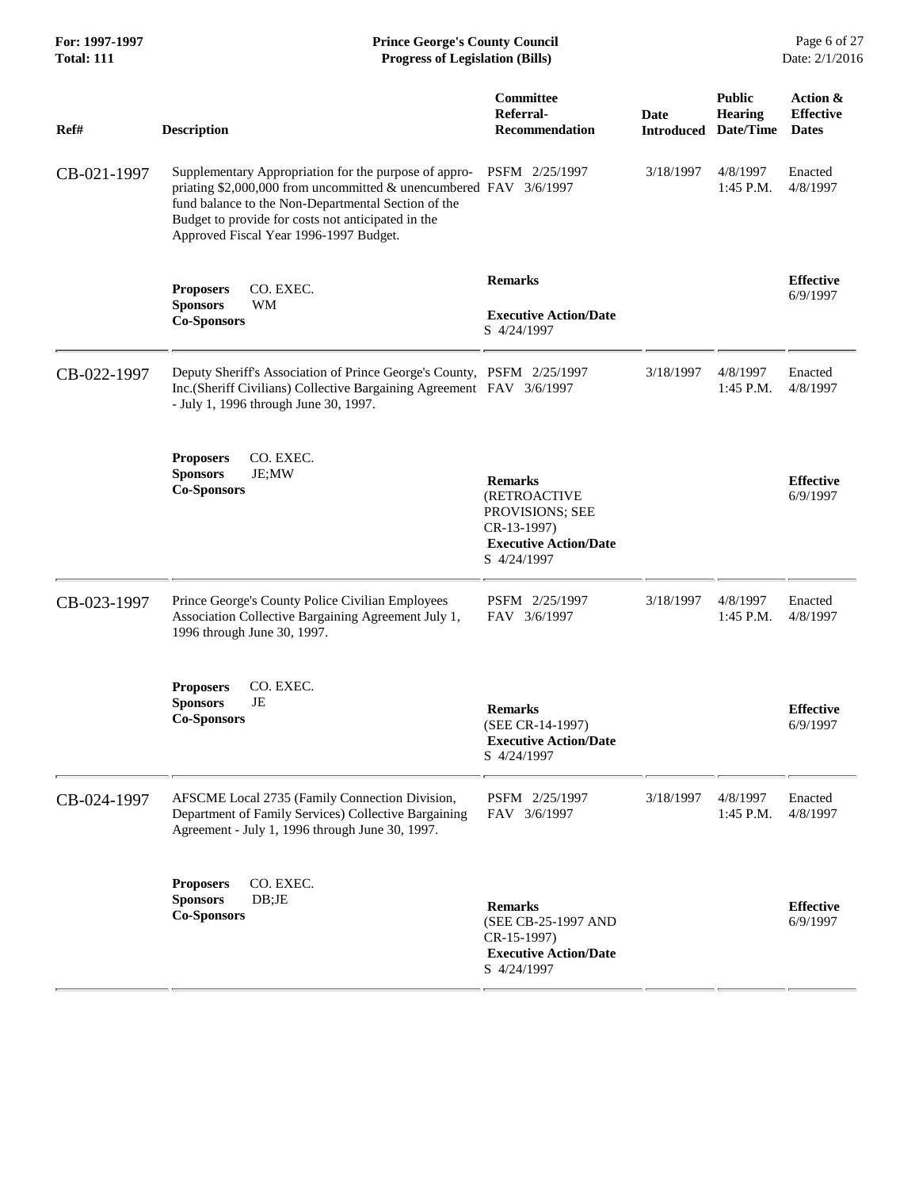| For: 1997-1997<br><b>Total: 111</b> | <b>Prince George's County Council</b><br><b>Progress of Legislation (Bills)</b>                                                                                                                                                                                                                  |                                                                                                                 |             |                                                         | Page 6 of 27<br>Date: 2/1/2016               |
|-------------------------------------|--------------------------------------------------------------------------------------------------------------------------------------------------------------------------------------------------------------------------------------------------------------------------------------------------|-----------------------------------------------------------------------------------------------------------------|-------------|---------------------------------------------------------|----------------------------------------------|
| Ref#                                | <b>Description</b>                                                                                                                                                                                                                                                                               | Committee<br>Referral-<br><b>Recommendation</b>                                                                 | <b>Date</b> | <b>Public</b><br>Hearing<br><b>Introduced Date/Time</b> | Action &<br><b>Effective</b><br><b>Dates</b> |
| CB-021-1997                         | Supplementary Appropriation for the purpose of appro- PSFM 2/25/1997<br>priating \$2,000,000 from uncommitted & unencumbered FAV 3/6/1997<br>fund balance to the Non-Departmental Section of the<br>Budget to provide for costs not anticipated in the<br>Approved Fiscal Year 1996-1997 Budget. |                                                                                                                 | 3/18/1997   | 4/8/1997<br>$1:45$ P.M.                                 | Enacted<br>4/8/1997                          |
|                                     | CO. EXEC.<br><b>Proposers</b><br>WM<br><b>Sponsors</b><br><b>Co-Sponsors</b>                                                                                                                                                                                                                     | <b>Remarks</b><br><b>Executive Action/Date</b><br>S 4/24/1997                                                   |             |                                                         | <b>Effective</b><br>6/9/1997                 |
| CB-022-1997                         | Deputy Sheriff's Association of Prince George's County, PSFM 2/25/1997<br>Inc.(Sheriff Civilians) Collective Bargaining Agreement FAV 3/6/1997<br>- July 1, 1996 through June 30, 1997.                                                                                                          |                                                                                                                 | 3/18/1997   | 4/8/1997<br>1:45 P.M.                                   | Enacted<br>4/8/1997                          |
|                                     | CO. EXEC.<br><b>Proposers</b><br><b>Sponsors</b><br>JE;MW<br><b>Co-Sponsors</b>                                                                                                                                                                                                                  | <b>Remarks</b><br>(RETROACTIVE<br>PROVISIONS; SEE<br>CR-13-1997)<br><b>Executive Action/Date</b><br>S 4/24/1997 |             |                                                         | <b>Effective</b><br>6/9/1997                 |
| CB-023-1997                         | Prince George's County Police Civilian Employees<br>Association Collective Bargaining Agreement July 1,<br>1996 through June 30, 1997.                                                                                                                                                           | PSFM 2/25/1997<br>FAV 3/6/1997                                                                                  | 3/18/1997   | 4/8/1997<br>$1:45$ P.M.                                 | Enacted<br>4/8/1997                          |
|                                     | CO. EXEC.<br><b>Proposers</b><br><b>Sponsors</b><br>JE<br><b>Co-Sponsors</b>                                                                                                                                                                                                                     | <b>Remarks</b><br>(SEE CR-14-1997)<br><b>Executive Action/Date</b><br>S 4/24/1997                               |             |                                                         | <b>Effective</b><br>6/9/1997                 |
| CB-024-1997                         | AFSCME Local 2735 (Family Connection Division,<br>Department of Family Services) Collective Bargaining<br>Agreement - July 1, 1996 through June 30, 1997.                                                                                                                                        | PSFM 2/25/1997<br>FAV 3/6/1997                                                                                  | 3/18/1997   | 4/8/1997<br>1:45 P.M.                                   | Enacted<br>4/8/1997                          |
|                                     | CO. EXEC.<br><b>Proposers</b><br><b>Sponsors</b><br>DB;JE<br><b>Co-Sponsors</b>                                                                                                                                                                                                                  | <b>Remarks</b><br>(SEE CB-25-1997 AND<br>CR-15-1997)<br><b>Executive Action/Date</b><br>S 4/24/1997             |             |                                                         | <b>Effective</b><br>6/9/1997                 |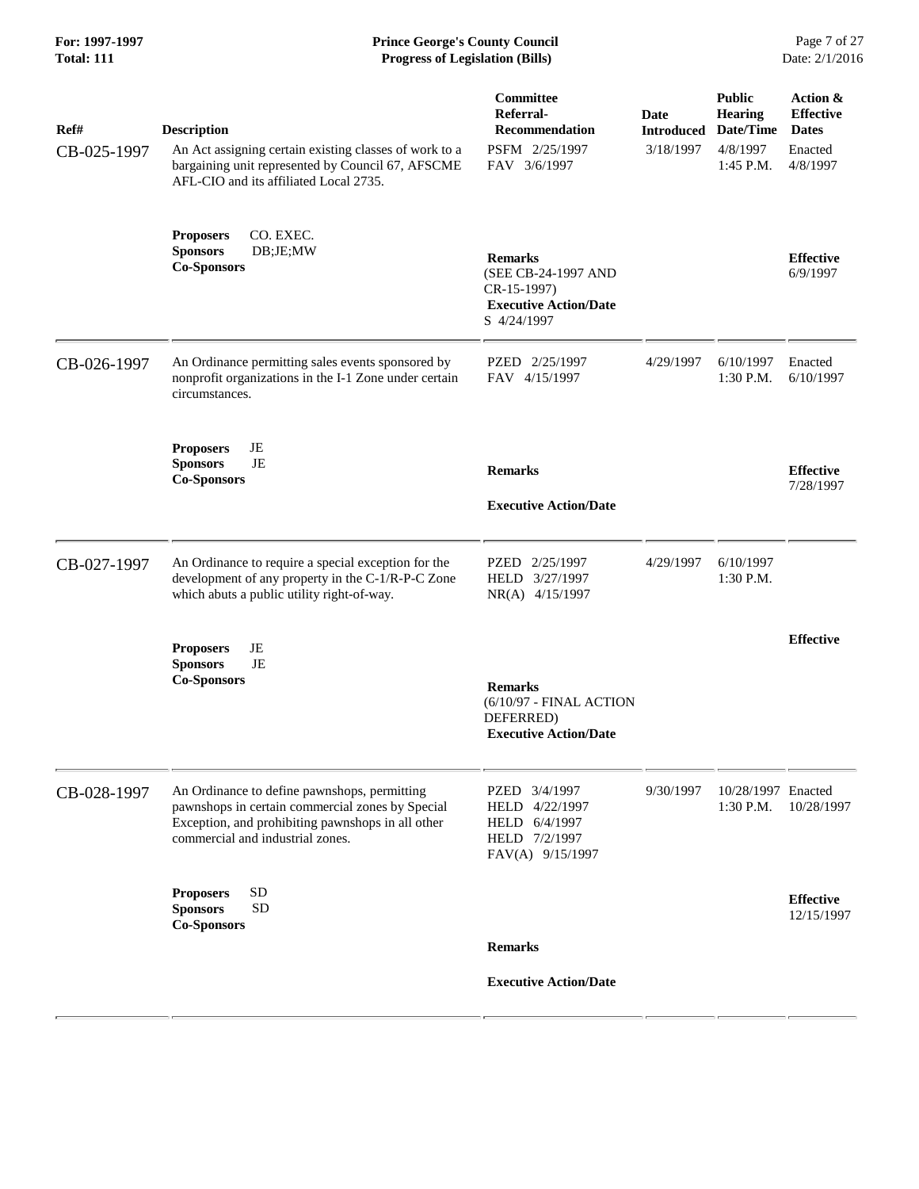| Ref#<br>CB-025-1997 | <b>Description</b><br>An Act assigning certain existing classes of work to a<br>bargaining unit represented by Council 67, AFSCME<br>AFL-CIO and its affiliated Local 2735.               | Committee<br>Referral-<br><b>Recommendation</b><br>PSFM 2/25/1997<br>FAV 3/6/1997                    | Date<br><b>Introduced</b><br>3/18/1997 | <b>Public</b><br><b>Hearing</b><br>Date/Time<br>4/8/1997<br>1:45 P.M. | Action &<br><b>Effective</b><br><b>Dates</b><br>Enacted<br>4/8/1997 |
|---------------------|-------------------------------------------------------------------------------------------------------------------------------------------------------------------------------------------|------------------------------------------------------------------------------------------------------|----------------------------------------|-----------------------------------------------------------------------|---------------------------------------------------------------------|
|                     | CO. EXEC.<br><b>Proposers</b><br>DB;JE;MW<br><b>Sponsors</b><br><b>Co-Sponsors</b>                                                                                                        | <b>Remarks</b><br>(SEE CB-24-1997 AND<br>$CR-15-1997$<br><b>Executive Action/Date</b><br>S 4/24/1997 |                                        |                                                                       | <b>Effective</b><br>6/9/1997                                        |
| CB-026-1997         | An Ordinance permitting sales events sponsored by<br>nonprofit organizations in the I-1 Zone under certain<br>circumstances.                                                              | PZED 2/25/1997<br>FAV 4/15/1997                                                                      | 4/29/1997                              | 6/10/1997<br>1:30 P.M.                                                | Enacted<br>6/10/1997                                                |
|                     | <b>Proposers</b><br>JE<br>JE<br><b>Sponsors</b><br><b>Co-Sponsors</b>                                                                                                                     | <b>Remarks</b><br><b>Executive Action/Date</b>                                                       |                                        |                                                                       | <b>Effective</b><br>7/28/1997                                       |
| CB-027-1997         | An Ordinance to require a special exception for the<br>development of any property in the C-1/R-P-C Zone<br>which abuts a public utility right-of-way.                                    | PZED 2/25/1997<br>HELD 3/27/1997<br>NR(A) 4/15/1997                                                  | 4/29/1997                              | 6/10/1997<br>1:30 P.M.                                                |                                                                     |
|                     | JE<br><b>Proposers</b><br><b>Sponsors</b><br>JE<br><b>Co-Sponsors</b>                                                                                                                     | <b>Remarks</b><br>(6/10/97 - FINAL ACTION<br>DEFERRED)<br><b>Executive Action/Date</b>               |                                        |                                                                       | <b>Effective</b>                                                    |
| CB-028-1997         | An Ordinance to define pawnshops, permitting<br>pawnshops in certain commercial zones by Special<br>Exception, and prohibiting pawnshops in all other<br>commercial and industrial zones. | PZED 3/4/1997<br>HELD 4/22/1997<br>HELD 6/4/1997<br>HELD 7/2/1997<br>FAV(A) 9/15/1997                | 9/30/1997                              | 10/28/1997 Enacted<br>1:30 P.M.                                       | 10/28/1997                                                          |
|                     | <b>SD</b><br><b>Proposers</b><br><b>SD</b><br><b>Sponsors</b><br><b>Co-Sponsors</b>                                                                                                       | <b>Remarks</b>                                                                                       |                                        |                                                                       | <b>Effective</b><br>12/15/1997                                      |
|                     |                                                                                                                                                                                           | <b>Executive Action/Date</b>                                                                         |                                        |                                                                       |                                                                     |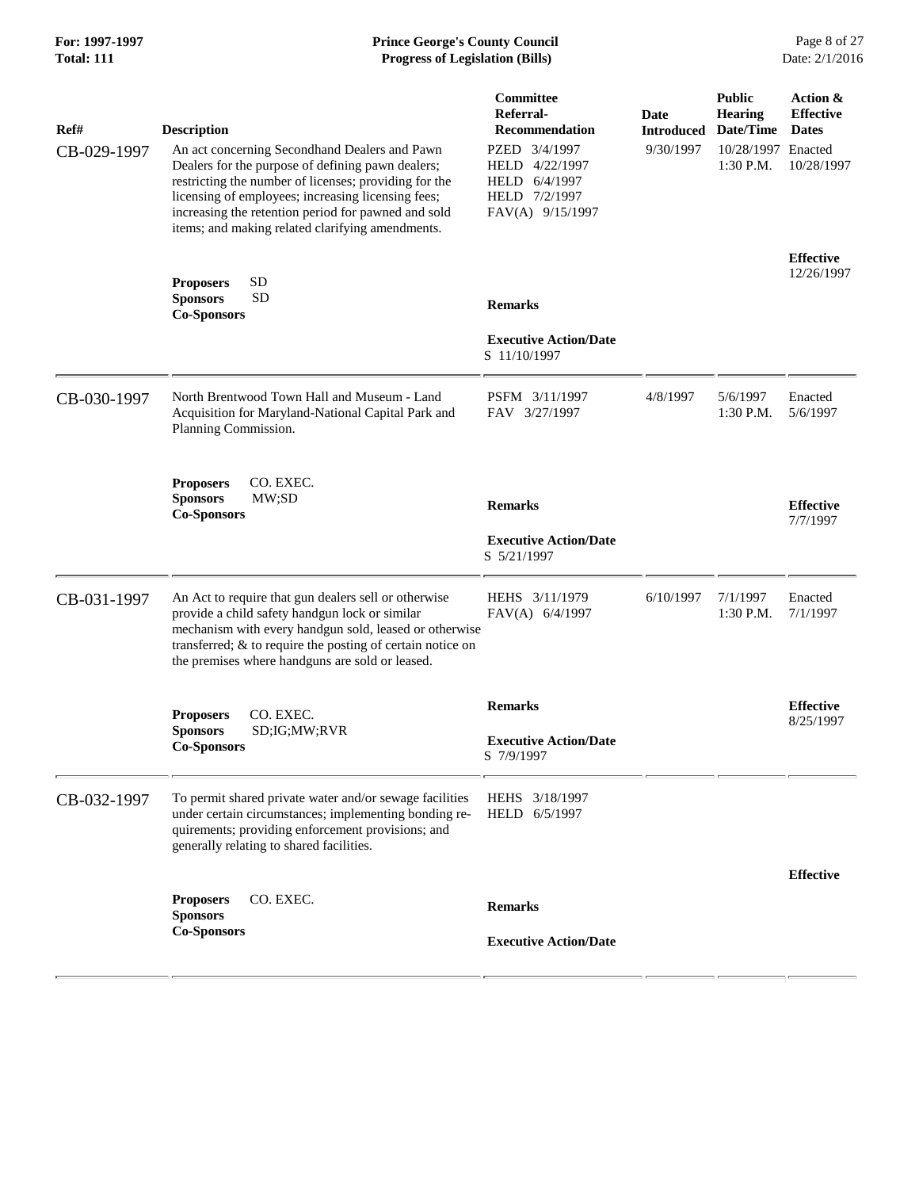# **For: 1997-1997** Prince George's County Council<br> **Form Prince George's County Council**<br> **Progress of Legislation (Bills)** Date: 2/1/2016 **Total: 111 Progress of Legislation (Bills)**

| Ref#        | <b>Description</b>                                                                                                                                                                                                                                                                                                           | Committee<br>Referral-<br><b>Recommendation</b>                                       | <b>Date</b><br><b>Introduced</b> | <b>Public</b><br><b>Hearing</b><br>Date/Time | Action &<br><b>Effective</b><br><b>Dates</b> |
|-------------|------------------------------------------------------------------------------------------------------------------------------------------------------------------------------------------------------------------------------------------------------------------------------------------------------------------------------|---------------------------------------------------------------------------------------|----------------------------------|----------------------------------------------|----------------------------------------------|
| CB-029-1997 | An act concerning Secondhand Dealers and Pawn<br>Dealers for the purpose of defining pawn dealers;<br>restricting the number of licenses; providing for the<br>licensing of employees; increasing licensing fees;<br>increasing the retention period for pawned and sold<br>items; and making related clarifying amendments. | PZED 3/4/1997<br>HELD 4/22/1997<br>HELD 6/4/1997<br>HELD 7/2/1997<br>FAV(A) 9/15/1997 | 9/30/1997                        | 10/28/1997 Enacted<br>1:30 P.M.              | 10/28/1997                                   |
|             | <b>SD</b><br><b>Proposers</b>                                                                                                                                                                                                                                                                                                |                                                                                       |                                  |                                              | <b>Effective</b><br>12/26/1997               |
|             | <b>Sponsors</b><br><b>SD</b><br><b>Co-Sponsors</b>                                                                                                                                                                                                                                                                           | <b>Remarks</b>                                                                        |                                  |                                              |                                              |
|             |                                                                                                                                                                                                                                                                                                                              | <b>Executive Action/Date</b><br>S 11/10/1997                                          |                                  |                                              |                                              |
| CB-030-1997 | North Brentwood Town Hall and Museum - Land<br>Acquisition for Maryland-National Capital Park and<br>Planning Commission.                                                                                                                                                                                                    | PSFM 3/11/1997<br>FAV 3/27/1997                                                       | 4/8/1997                         | 5/6/1997<br>1:30 P.M.                        | Enacted<br>5/6/1997                          |
|             | CO. EXEC.<br><b>Proposers</b><br>MW;SD<br><b>Sponsors</b><br><b>Co-Sponsors</b>                                                                                                                                                                                                                                              | <b>Remarks</b>                                                                        |                                  |                                              | <b>Effective</b><br>7/7/1997                 |
|             |                                                                                                                                                                                                                                                                                                                              | <b>Executive Action/Date</b><br>S 5/21/1997                                           |                                  |                                              |                                              |
| CB-031-1997 | An Act to require that gun dealers sell or otherwise<br>provide a child safety handgun lock or similar<br>mechanism with every handgun sold, leased or otherwise<br>transferred; & to require the posting of certain notice on<br>the premises where handguns are sold or leased.                                            | HEHS 3/11/1979<br>FAV(A) 6/4/1997                                                     | 6/10/1997                        | 7/1/1997<br>1:30 P.M.                        | Enacted<br>7/1/1997                          |
|             | CO. EXEC.<br><b>Proposers</b>                                                                                                                                                                                                                                                                                                | <b>Remarks</b>                                                                        |                                  |                                              | <b>Effective</b><br>8/25/1997                |
|             | <b>Sponsors</b><br>SD;IG;MW;RVR<br><b>Co-Sponsors</b>                                                                                                                                                                                                                                                                        | <b>Executive Action/Date</b><br>S 7/9/1997                                            |                                  |                                              |                                              |
| CB-032-1997 | To permit shared private water and/or sewage facilities<br>under certain circumstances; implementing bonding re-<br>quirements; providing enforcement provisions; and<br>generally relating to shared facilities.                                                                                                            | HEHS 3/18/1997<br>HELD 6/5/1997                                                       |                                  |                                              |                                              |
|             | CO. EXEC.                                                                                                                                                                                                                                                                                                                    |                                                                                       |                                  |                                              | <b>Effective</b>                             |
|             | <b>Proposers</b><br><b>Sponsors</b><br><b>Co-Sponsors</b>                                                                                                                                                                                                                                                                    | <b>Remarks</b><br><b>Executive Action/Date</b>                                        |                                  |                                              |                                              |
|             |                                                                                                                                                                                                                                                                                                                              |                                                                                       |                                  |                                              |                                              |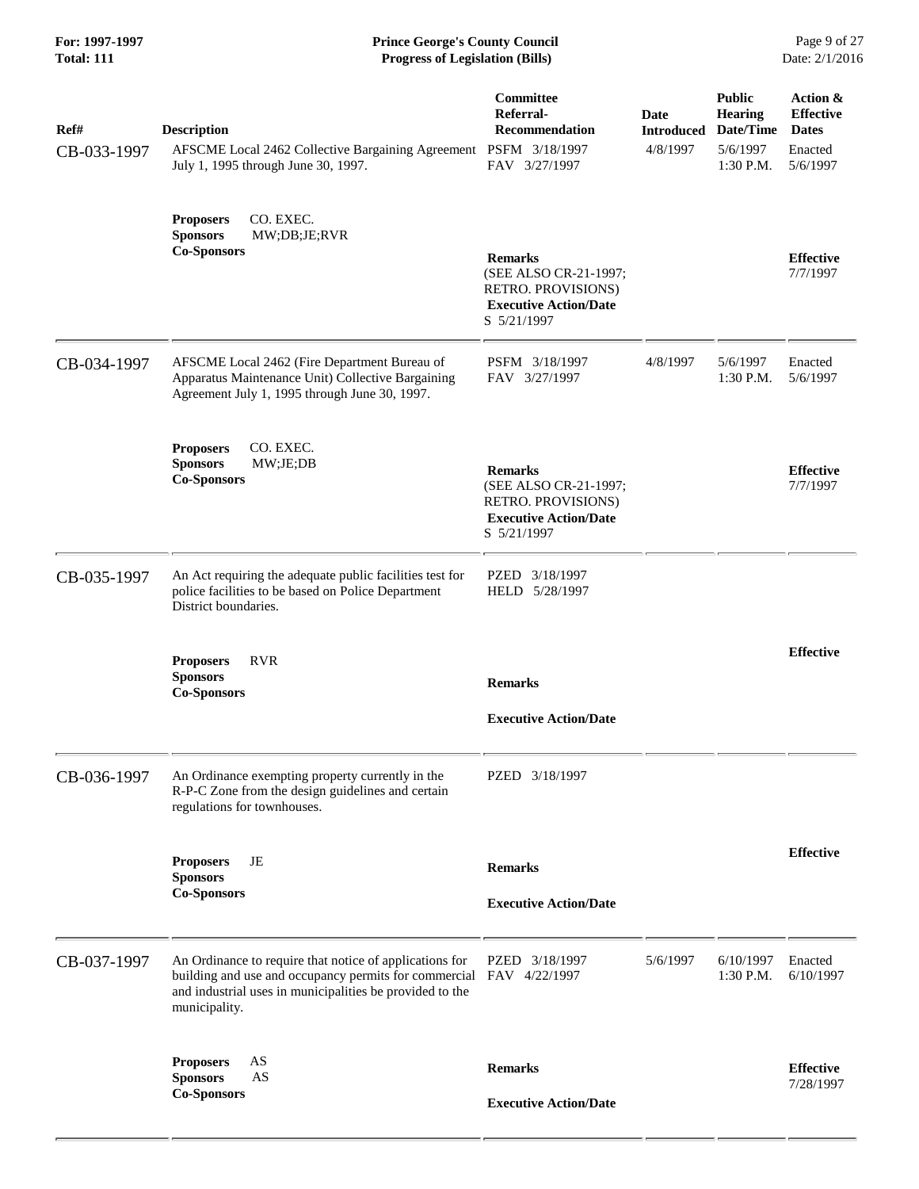| Ref#<br>CB-033-1997 | <b>Description</b><br>AFSCME Local 2462 Collective Bargaining Agreement PSFM 3/18/1997<br>July 1, 1995 through June 30, 1997.                                                                               | <b>Committee</b><br>Referral-<br><b>Recommendation</b><br>FAV 3/27/1997                                      | Date<br><b>Introduced</b><br>4/8/1997 | <b>Public</b><br><b>Hearing</b><br>Date/Time<br>5/6/1997<br>$1:30$ P.M. | Action &<br><b>Effective</b><br><b>Dates</b><br>Enacted<br>5/6/1997 |
|---------------------|-------------------------------------------------------------------------------------------------------------------------------------------------------------------------------------------------------------|--------------------------------------------------------------------------------------------------------------|---------------------------------------|-------------------------------------------------------------------------|---------------------------------------------------------------------|
|                     | CO. EXEC.<br><b>Proposers</b><br><b>Sponsors</b><br>MW;DB;JE;RVR<br><b>Co-Sponsors</b>                                                                                                                      | <b>Remarks</b><br>(SEE ALSO CR-21-1997;<br>RETRO. PROVISIONS)<br><b>Executive Action/Date</b><br>S 5/21/1997 |                                       |                                                                         | <b>Effective</b><br>7/7/1997                                        |
| CB-034-1997         | AFSCME Local 2462 (Fire Department Bureau of<br>Apparatus Maintenance Unit) Collective Bargaining<br>Agreement July 1, 1995 through June 30, 1997.                                                          | PSFM 3/18/1997<br>FAV 3/27/1997                                                                              | 4/8/1997                              | 5/6/1997<br>1:30 P.M.                                                   | Enacted<br>5/6/1997                                                 |
|                     | CO. EXEC.<br><b>Proposers</b><br>MW;JE; DB<br><b>Sponsors</b><br><b>Co-Sponsors</b>                                                                                                                         | <b>Remarks</b><br>(SEE ALSO CR-21-1997;<br>RETRO. PROVISIONS)<br><b>Executive Action/Date</b><br>S 5/21/1997 |                                       |                                                                         | <b>Effective</b><br>7/7/1997                                        |
| CB-035-1997         | An Act requiring the adequate public facilities test for<br>police facilities to be based on Police Department<br>District boundaries.                                                                      | PZED 3/18/1997<br>HELD 5/28/1997                                                                             |                                       |                                                                         |                                                                     |
|                     | <b>RVR</b><br><b>Proposers</b><br><b>Sponsors</b><br><b>Co-Sponsors</b>                                                                                                                                     | <b>Remarks</b><br><b>Executive Action/Date</b>                                                               |                                       |                                                                         | <b>Effective</b>                                                    |
| CB-036-1997         | An Ordinance exempting property currently in the<br>R-P-C Zone from the design guidelines and certain<br>regulations for townhouses.                                                                        | PZED 3/18/1997                                                                                               |                                       |                                                                         |                                                                     |
|                     | JE<br><b>Proposers</b><br><b>Sponsors</b><br><b>Co-Sponsors</b>                                                                                                                                             | <b>Remarks</b><br><b>Executive Action/Date</b>                                                               |                                       |                                                                         | <b>Effective</b>                                                    |
| CB-037-1997         | An Ordinance to require that notice of applications for<br>building and use and occupancy permits for commercial FAV 4/22/1997<br>and industrial uses in municipalities be provided to the<br>municipality. | PZED 3/18/1997                                                                                               | 5/6/1997                              | 6/10/1997<br>1:30 P.M.                                                  | Enacted<br>6/10/1997                                                |
|                     | AS<br><b>Proposers</b><br><b>Sponsors</b><br>AS<br><b>Co-Sponsors</b>                                                                                                                                       | <b>Remarks</b><br><b>Executive Action/Date</b>                                                               |                                       |                                                                         | <b>Effective</b><br>7/28/1997                                       |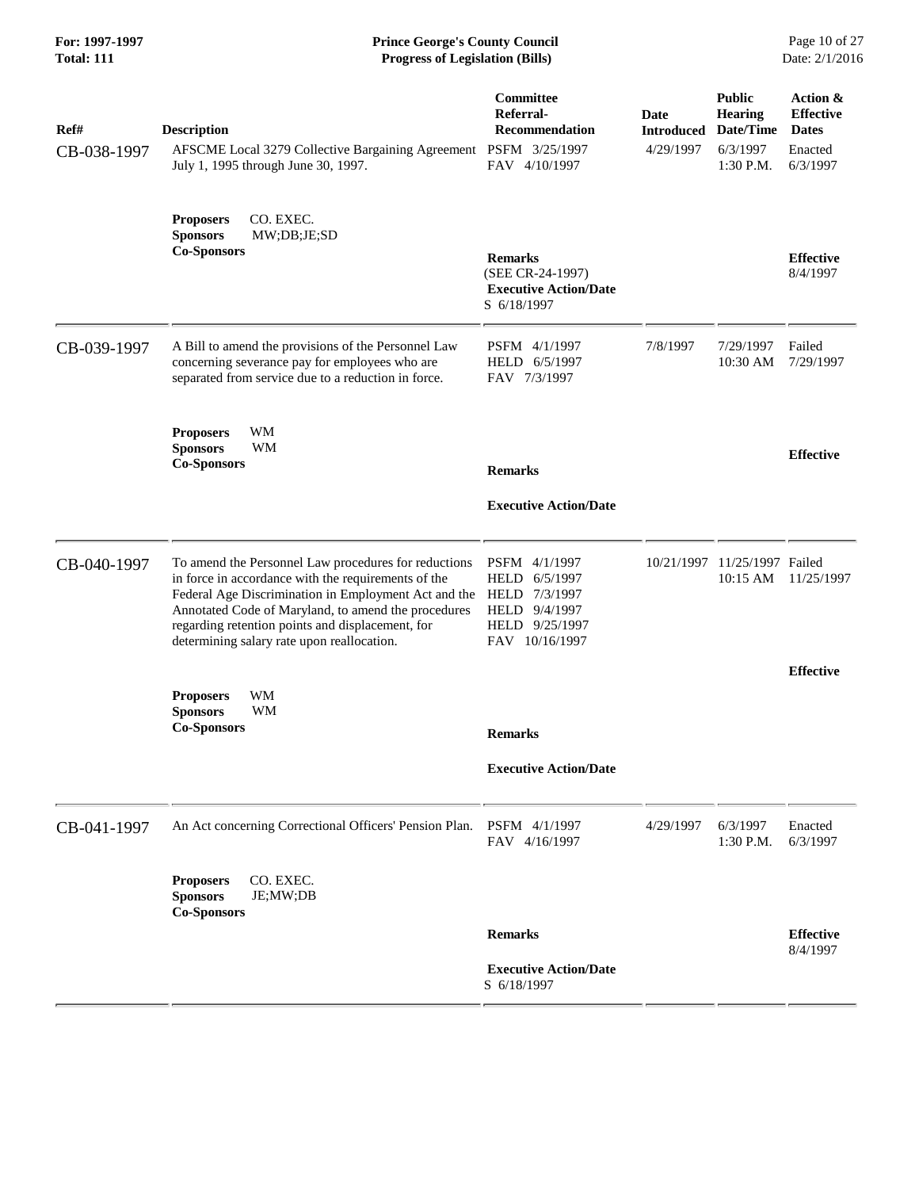#### **For: 1997-1997 Prince George's County Council** Page 10 of 27<br> **Prince George's County Council** Page 10 of 27<br> **Progress of Legislation (Bills)** Date: 2/1/2016 **Total: 111 Progress of Legislation (Bills)**

| Ref#<br>CB-038-1997 | <b>Description</b><br>AFSCME Local 3279 Collective Bargaining Agreement PSFM 3/25/1997<br>July 1, 1995 through June 30, 1997.                                                                                                                                                                                                | Committee<br>Referral-<br><b>Recommendation</b><br>FAV 4/10/1997                                        | <b>Date</b><br><b>Introduced</b><br>4/29/1997 | <b>Public</b><br>Hearing<br>Date/Time<br>6/3/1997<br>1:30 P.M. | Action &<br><b>Effective</b><br><b>Dates</b><br>Enacted<br>6/3/1997 |
|---------------------|------------------------------------------------------------------------------------------------------------------------------------------------------------------------------------------------------------------------------------------------------------------------------------------------------------------------------|---------------------------------------------------------------------------------------------------------|-----------------------------------------------|----------------------------------------------------------------|---------------------------------------------------------------------|
|                     | CO. EXEC.<br><b>Proposers</b><br><b>Sponsors</b><br>MW;DB;JE;SD<br><b>Co-Sponsors</b>                                                                                                                                                                                                                                        | <b>Remarks</b><br>(SEE CR-24-1997)<br><b>Executive Action/Date</b><br>S 6/18/1997                       |                                               |                                                                | <b>Effective</b><br>8/4/1997                                        |
| CB-039-1997         | A Bill to amend the provisions of the Personnel Law<br>concerning severance pay for employees who are<br>separated from service due to a reduction in force.                                                                                                                                                                 | PSFM 4/1/1997<br>HELD 6/5/1997<br>FAV 7/3/1997                                                          | 7/8/1997                                      | 7/29/1997<br>10:30 AM                                          | Failed<br>7/29/1997                                                 |
|                     | WM<br><b>Proposers</b><br><b>Sponsors</b><br><b>WM</b><br><b>Co-Sponsors</b>                                                                                                                                                                                                                                                 | <b>Remarks</b><br><b>Executive Action/Date</b>                                                          |                                               |                                                                | <b>Effective</b>                                                    |
| CB-040-1997         | To amend the Personnel Law procedures for reductions<br>in force in accordance with the requirements of the<br>Federal Age Discrimination in Employment Act and the<br>Annotated Code of Maryland, to amend the procedures<br>regarding retention points and displacement, for<br>determining salary rate upon reallocation. | PSFM 4/1/1997<br>HELD<br>6/5/1997<br>HELD 7/3/1997<br>HELD 9/4/1997<br>HELD 9/25/1997<br>FAV 10/16/1997 | 10/21/1997                                    | 11/25/1997 Failed<br>10:15 AM                                  | 11/25/1997                                                          |
|                     | WM<br><b>Proposers</b><br><b>Sponsors</b><br>WМ<br><b>Co-Sponsors</b>                                                                                                                                                                                                                                                        | <b>Remarks</b><br><b>Executive Action/Date</b>                                                          |                                               |                                                                | <b>Effective</b>                                                    |
| CB-041-1997         | An Act concerning Correctional Officers' Pension Plan.                                                                                                                                                                                                                                                                       | PSFM 4/1/1997<br>FAV 4/16/1997                                                                          | 4/29/1997                                     | 6/3/1997<br>1:30 P.M.                                          | Enacted<br>6/3/1997                                                 |
|                     | <b>Proposers</b><br>CO. EXEC.<br>JE;MW;DB<br><b>Sponsors</b><br><b>Co-Sponsors</b>                                                                                                                                                                                                                                           | <b>Remarks</b>                                                                                          |                                               |                                                                | <b>Effective</b>                                                    |
|                     |                                                                                                                                                                                                                                                                                                                              | <b>Executive Action/Date</b><br>S 6/18/1997                                                             |                                               |                                                                | 8/4/1997                                                            |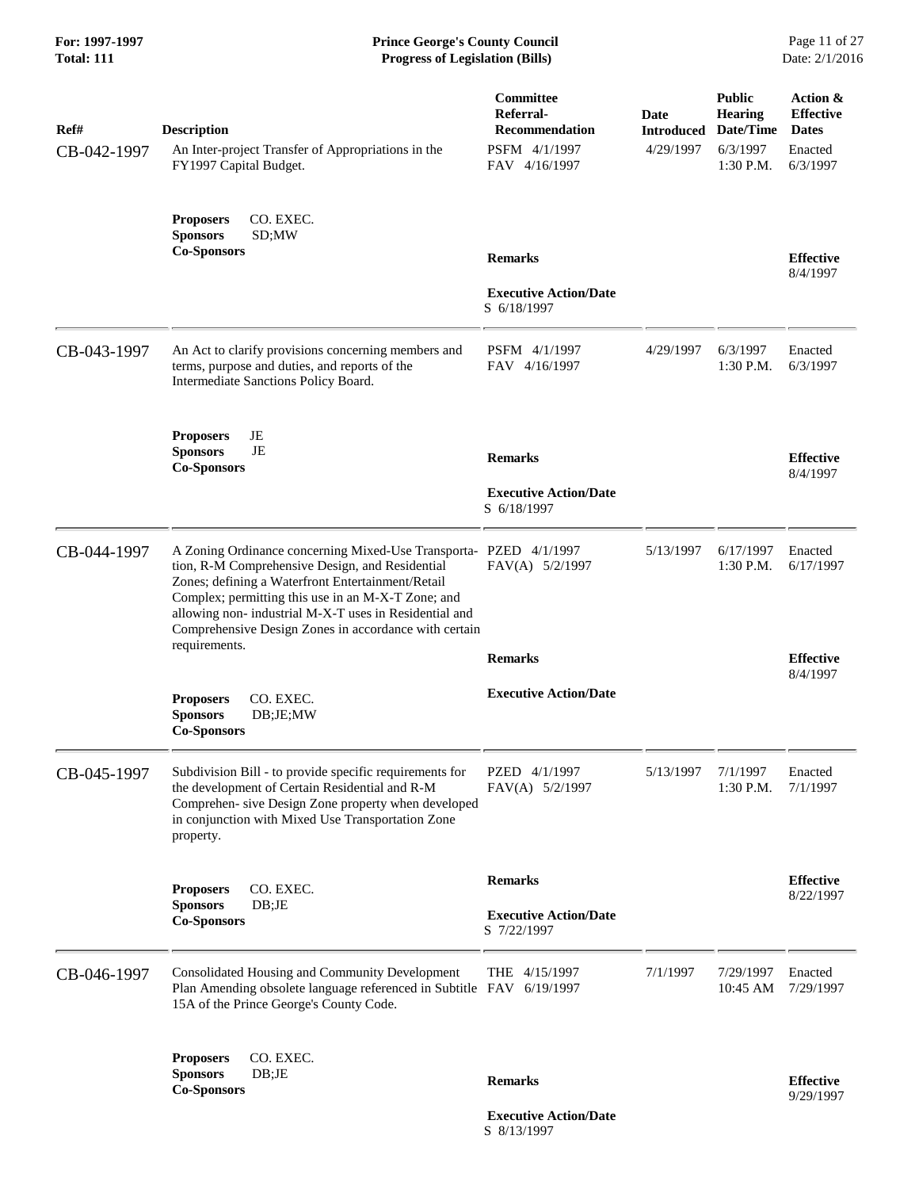| Ref#<br>CB-042-1997 | <b>Description</b><br>An Inter-project Transfer of Appropriations in the<br>FY1997 Capital Budget.                                                                                                                                                                                                                                                | Committee<br>Referral-<br>Recommendation<br>PSFM 4/1/1997<br>FAV 4/16/1997 | Date<br><b>Introduced</b><br>4/29/1997 | <b>Public</b><br><b>Hearing</b><br>Date/Time<br>6/3/1997<br>1:30 P.M. | Action &<br><b>Effective</b><br><b>Dates</b><br>Enacted<br>6/3/1997 |
|---------------------|---------------------------------------------------------------------------------------------------------------------------------------------------------------------------------------------------------------------------------------------------------------------------------------------------------------------------------------------------|----------------------------------------------------------------------------|----------------------------------------|-----------------------------------------------------------------------|---------------------------------------------------------------------|
|                     | CO. EXEC.<br><b>Proposers</b><br><b>Sponsors</b><br>SD;MW<br><b>Co-Sponsors</b>                                                                                                                                                                                                                                                                   | <b>Remarks</b>                                                             |                                        |                                                                       | <b>Effective</b><br>8/4/1997                                        |
|                     |                                                                                                                                                                                                                                                                                                                                                   | <b>Executive Action/Date</b><br>S 6/18/1997                                |                                        |                                                                       |                                                                     |
| CB-043-1997         | An Act to clarify provisions concerning members and<br>terms, purpose and duties, and reports of the<br>Intermediate Sanctions Policy Board.                                                                                                                                                                                                      | PSFM 4/1/1997<br>FAV 4/16/1997                                             | 4/29/1997                              | 6/3/1997<br>1:30 P.M.                                                 | Enacted<br>6/3/1997                                                 |
|                     | JE<br><b>Proposers</b><br><b>Sponsors</b><br><b>JE</b><br><b>Co-Sponsors</b>                                                                                                                                                                                                                                                                      | <b>Remarks</b>                                                             |                                        |                                                                       | <b>Effective</b><br>8/4/1997                                        |
|                     |                                                                                                                                                                                                                                                                                                                                                   | <b>Executive Action/Date</b><br>S 6/18/1997                                |                                        |                                                                       |                                                                     |
| CB-044-1997         | A Zoning Ordinance concerning Mixed-Use Transporta- PZED 4/1/1997<br>tion, R-M Comprehensive Design, and Residential<br>Zones; defining a Waterfront Entertainment/Retail<br>Complex; permitting this use in an M-X-T Zone; and<br>allowing non-industrial M-X-T uses in Residential and<br>Comprehensive Design Zones in accordance with certain | FAV(A) 5/2/1997                                                            | 5/13/1997                              | 6/17/1997<br>1:30 P.M.                                                | Enacted<br>6/17/1997                                                |
|                     | requirements.                                                                                                                                                                                                                                                                                                                                     | <b>Remarks</b>                                                             |                                        |                                                                       | <b>Effective</b><br>8/4/1997                                        |
|                     | CO. EXEC.<br><b>Proposers</b><br><b>Sponsors</b><br>DB;JE;MW<br><b>Co-Sponsors</b>                                                                                                                                                                                                                                                                | <b>Executive Action/Date</b>                                               |                                        |                                                                       |                                                                     |
| CB-045-1997         | Subdivision Bill - to provide specific requirements for<br>the development of Certain Residential and R-M<br>Comprehen- sive Design Zone property when developed<br>in conjunction with Mixed Use Transportation Zone<br>property.                                                                                                                | PZED 4/1/1997<br>FAV(A) 5/2/1997                                           | 5/13/1997                              | 7/1/1997<br>$1:30$ P.M.                                               | Enacted<br>7/1/1997                                                 |
|                     | CO. EXEC.<br><b>Proposers</b>                                                                                                                                                                                                                                                                                                                     | <b>Remarks</b>                                                             |                                        |                                                                       | <b>Effective</b><br>8/22/1997                                       |
|                     | <b>Sponsors</b><br>DB;JE<br><b>Co-Sponsors</b>                                                                                                                                                                                                                                                                                                    | <b>Executive Action/Date</b><br>S 7/22/1997                                |                                        |                                                                       |                                                                     |
| CB-046-1997         | Consolidated Housing and Community Development<br>Plan Amending obsolete language referenced in Subtitle FAV 6/19/1997<br>15A of the Prince George's County Code.                                                                                                                                                                                 | THE 4/15/1997                                                              | 7/1/1997                               | 7/29/1997<br>10:45 AM                                                 | Enacted<br>7/29/1997                                                |
|                     | CO. EXEC.<br><b>Proposers</b><br><b>Sponsors</b><br>DB;JE                                                                                                                                                                                                                                                                                         |                                                                            |                                        |                                                                       |                                                                     |
|                     | <b>Co-Sponsors</b>                                                                                                                                                                                                                                                                                                                                | <b>Remarks</b>                                                             |                                        |                                                                       | <b>Effective</b><br>9/29/1997                                       |

 **Executive Action/Date** S 8/13/1997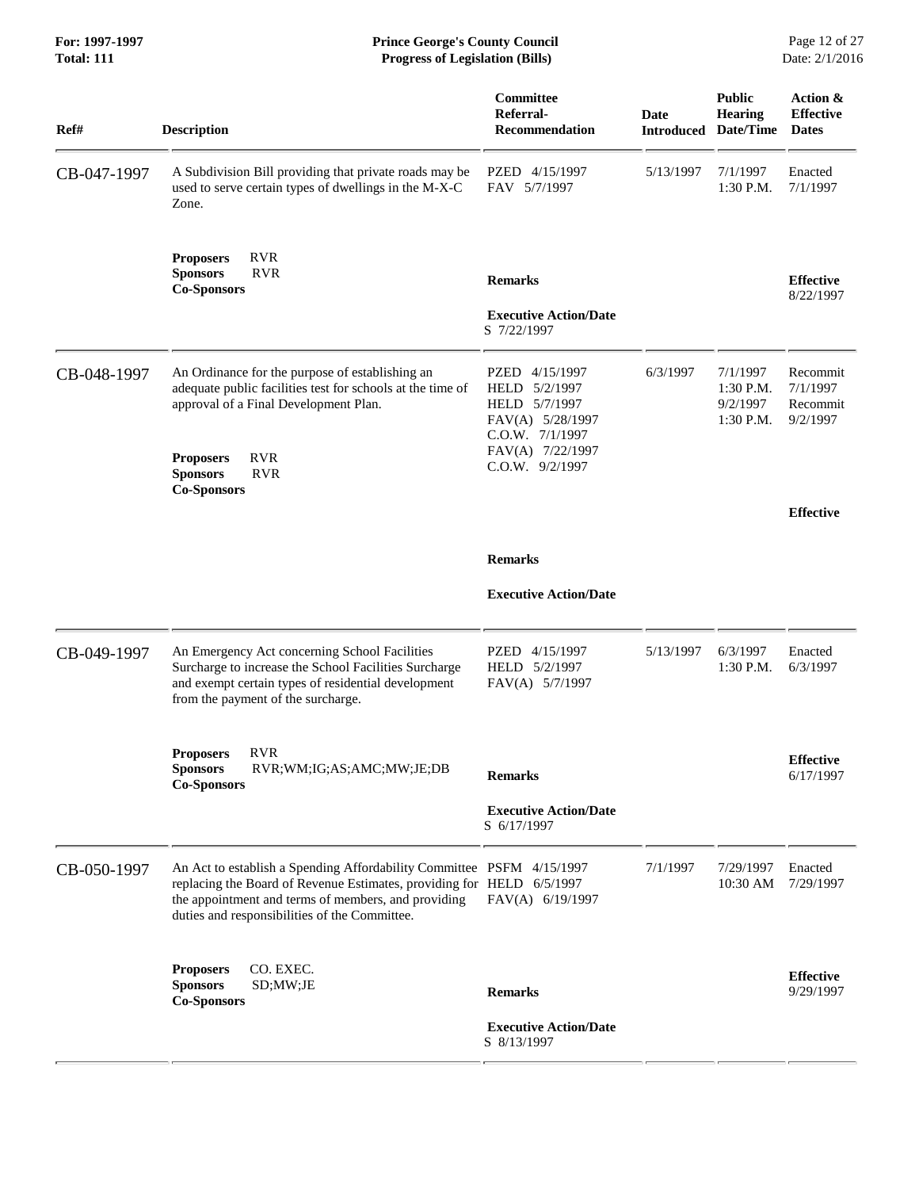#### **For: 1997-1997 Prince George's County Council** Page 12 of 27<br> **Prince George's County Council** Page 12 of 27<br> **Progress of Legislation (Bills)** Date: 2/1/2016 **Total: 111 Progress of Legislation (Bills)**

| Ref#        | <b>Description</b>                                                                                                                                                                                                                                     | Committee<br>Referral-<br><b>Recommendation</b>                                                                                | <b>Date</b><br><b>Introduced</b> | <b>Public</b><br>Hearing<br>Date/Time          | Action &<br><b>Effective</b><br><b>Dates</b> |
|-------------|--------------------------------------------------------------------------------------------------------------------------------------------------------------------------------------------------------------------------------------------------------|--------------------------------------------------------------------------------------------------------------------------------|----------------------------------|------------------------------------------------|----------------------------------------------|
| CB-047-1997 | A Subdivision Bill providing that private roads may be<br>used to serve certain types of dwellings in the M-X-C<br>Zone.                                                                                                                               | PZED 4/15/1997<br>FAV 5/7/1997                                                                                                 | 5/13/1997                        | 7/1/1997<br>1:30 P.M.                          | Enacted<br>7/1/1997                          |
|             | <b>RVR</b><br><b>Proposers</b><br><b>Sponsors</b><br><b>RVR</b><br><b>Co-Sponsors</b>                                                                                                                                                                  | <b>Remarks</b>                                                                                                                 |                                  |                                                | <b>Effective</b><br>8/22/1997                |
|             |                                                                                                                                                                                                                                                        | <b>Executive Action/Date</b><br>S 7/22/1997                                                                                    |                                  |                                                |                                              |
| CB-048-1997 | An Ordinance for the purpose of establishing an<br>adequate public facilities test for schools at the time of<br>approval of a Final Development Plan.<br><b>RVR</b><br><b>Proposers</b><br><b>Sponsors</b><br><b>RVR</b>                              | PZED 4/15/1997<br>HELD 5/2/1997<br>HELD 5/7/1997<br>FAV(A) 5/28/1997<br>C.O.W. 7/1/1997<br>FAV(A) 7/22/1997<br>C.O.W. 9/2/1997 | 6/3/1997                         | 7/1/1997<br>1:30 P.M.<br>9/2/1997<br>1:30 P.M. | Recommit<br>7/1/1997<br>Recommit<br>9/2/1997 |
|             | <b>Co-Sponsors</b>                                                                                                                                                                                                                                     |                                                                                                                                |                                  |                                                | <b>Effective</b>                             |
|             |                                                                                                                                                                                                                                                        | <b>Remarks</b>                                                                                                                 |                                  |                                                |                                              |
|             |                                                                                                                                                                                                                                                        | <b>Executive Action/Date</b>                                                                                                   |                                  |                                                |                                              |
| CB-049-1997 | An Emergency Act concerning School Facilities<br>Surcharge to increase the School Facilities Surcharge<br>and exempt certain types of residential development<br>from the payment of the surcharge.                                                    | PZED 4/15/1997<br>HELD 5/2/1997<br>FAV(A) 5/7/1997                                                                             | 5/13/1997                        | 6/3/1997<br>1:30 P.M.                          | Enacted<br>6/3/1997                          |
|             | <b>RVR</b><br><b>Proposers</b><br>RVR;WM;IG;AS;AMC;MW;JE;DB<br><b>Sponsors</b><br><b>Co-Sponsors</b>                                                                                                                                                   | <b>Remarks</b>                                                                                                                 |                                  |                                                | <b>Effective</b><br>6/17/1997                |
|             |                                                                                                                                                                                                                                                        | <b>Executive Action/Date</b><br>S 6/17/1997                                                                                    |                                  |                                                |                                              |
| CB-050-1997 | An Act to establish a Spending Affordability Committee PSFM 4/15/1997<br>replacing the Board of Revenue Estimates, providing for HELD 6/5/1997<br>the appointment and terms of members, and providing<br>duties and responsibilities of the Committee. | FAV(A) 6/19/1997                                                                                                               | 7/1/1997                         | 7/29/1997<br>10:30 AM                          | Enacted<br>7/29/1997                         |
|             | <b>Proposers</b><br>CO. EXEC.<br><b>Sponsors</b><br>SD;MW;JE<br><b>Co-Sponsors</b>                                                                                                                                                                     | <b>Remarks</b>                                                                                                                 |                                  |                                                | <b>Effective</b><br>9/29/1997                |
|             |                                                                                                                                                                                                                                                        | <b>Executive Action/Date</b><br>S 8/13/1997                                                                                    |                                  |                                                |                                              |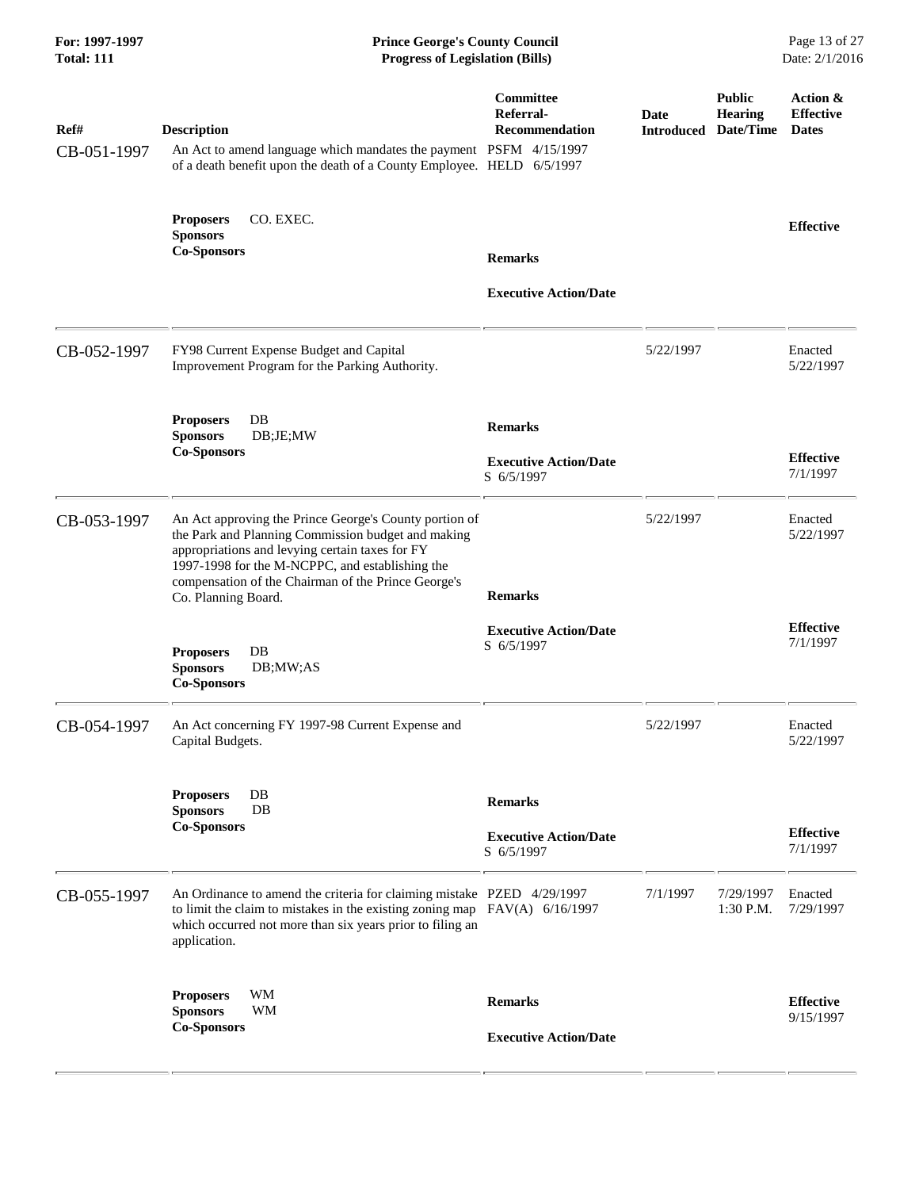| For: 1997-1997<br><b>Total: 111</b> | <b>Prince George's County Council</b><br>Page 13 of 27<br><b>Progress of Legislation (Bills)</b><br>Date: 2/1/2016                                                                                                                                                                               |                                                              |                           |                                              |                                              |
|-------------------------------------|--------------------------------------------------------------------------------------------------------------------------------------------------------------------------------------------------------------------------------------------------------------------------------------------------|--------------------------------------------------------------|---------------------------|----------------------------------------------|----------------------------------------------|
| Ref#<br>CB-051-1997                 | <b>Description</b><br>An Act to amend language which mandates the payment PSFM 4/15/1997<br>of a death benefit upon the death of a County Employee. HELD 6/5/1997                                                                                                                                | <b>Committee</b><br>Referral-<br><b>Recommendation</b>       | Date<br><b>Introduced</b> | <b>Public</b><br><b>Hearing</b><br>Date/Time | Action &<br><b>Effective</b><br><b>Dates</b> |
|                                     | CO. EXEC.<br><b>Proposers</b><br><b>Sponsors</b><br><b>Co-Sponsors</b>                                                                                                                                                                                                                           | <b>Remarks</b><br><b>Executive Action/Date</b>               |                           |                                              | <b>Effective</b>                             |
| CB-052-1997                         | FY98 Current Expense Budget and Capital<br>Improvement Program for the Parking Authority.                                                                                                                                                                                                        |                                                              | 5/22/1997                 |                                              | Enacted<br>5/22/1997                         |
|                                     | <b>Proposers</b><br>DB<br><b>Sponsors</b><br>DB;JE;MW<br><b>Co-Sponsors</b>                                                                                                                                                                                                                      | <b>Remarks</b><br><b>Executive Action/Date</b><br>S 6/5/1997 |                           |                                              | <b>Effective</b><br>7/1/1997                 |
| CB-053-1997                         | An Act approving the Prince George's County portion of<br>the Park and Planning Commission budget and making<br>appropriations and levying certain taxes for FY<br>1997-1998 for the M-NCPPC, and establishing the<br>compensation of the Chairman of the Prince George's<br>Co. Planning Board. | <b>Remarks</b>                                               | 5/22/1997                 |                                              | Enacted<br>5/22/1997                         |
|                                     | $\rm DB$<br><b>Proposers</b><br><b>Sponsors</b><br>DB;MW;AS<br><b>Co-Sponsors</b>                                                                                                                                                                                                                | <b>Executive Action/Date</b><br>S 6/5/1997                   |                           |                                              | <b>Effective</b><br>7/1/1997                 |
| CB-054-1997                         | An Act concerning FY 1997-98 Current Expense and<br>Capital Budgets.                                                                                                                                                                                                                             |                                                              | 5/22/1997                 |                                              | Enacted<br>5/22/1997                         |
|                                     | DB<br><b>Proposers</b><br>DB<br><b>Sponsors</b><br><b>Co-Sponsors</b>                                                                                                                                                                                                                            | <b>Remarks</b><br><b>Executive Action/Date</b><br>S 6/5/1997 |                           |                                              | <b>Effective</b><br>7/1/1997                 |
| CB-055-1997                         | An Ordinance to amend the criteria for claiming mistake PZED 4/29/1997<br>to limit the claim to mistakes in the existing zoning map $FAV(A)$ 6/16/1997<br>which occurred not more than six years prior to filing an<br>application.                                                              |                                                              | 7/1/1997                  | 7/29/1997<br>1:30 P.M.                       | Enacted<br>7/29/1997                         |
|                                     | WM<br><b>Proposers</b><br><b>Sponsors</b><br>WM<br><b>Co-Sponsors</b>                                                                                                                                                                                                                            | <b>Remarks</b><br><b>Executive Action/Date</b>               |                           |                                              | <b>Effective</b><br>9/15/1997                |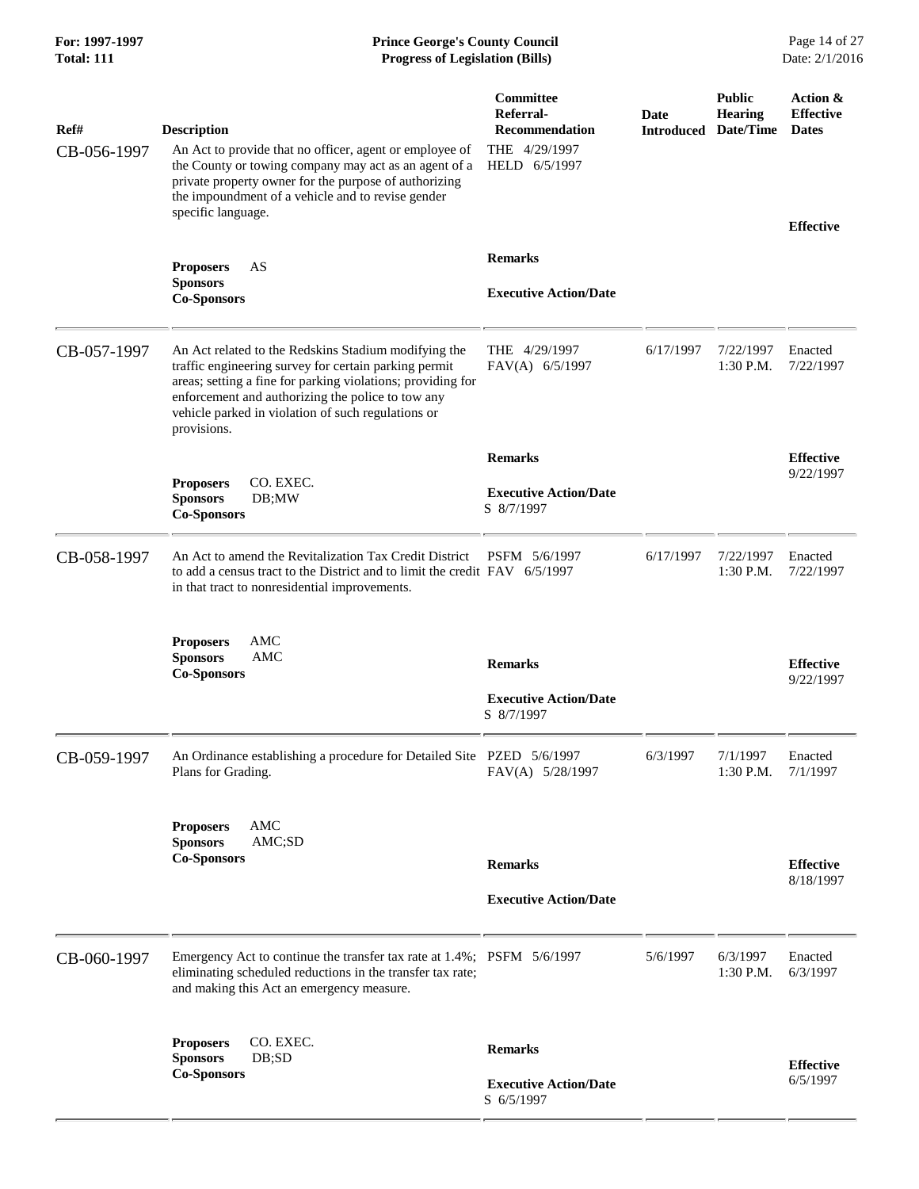| Ref#<br>CB-056-1997 | <b>Description</b><br>An Act to provide that no officer, agent or employee of<br>the County or towing company may act as an agent of a<br>private property owner for the purpose of authorizing<br>the impoundment of a vehicle and to revise gender<br>specific language.                             | <b>Committee</b><br>Referral-<br><b>Recommendation</b><br>THE 4/29/1997<br>HELD 6/5/1997 | Date<br>Introduced | <b>Public</b><br><b>Hearing</b><br>Date/Time | Action &<br><b>Effective</b><br><b>Dates</b><br><b>Effective</b> |
|---------------------|--------------------------------------------------------------------------------------------------------------------------------------------------------------------------------------------------------------------------------------------------------------------------------------------------------|------------------------------------------------------------------------------------------|--------------------|----------------------------------------------|------------------------------------------------------------------|
|                     | <b>Proposers</b><br>AS<br><b>Sponsors</b><br><b>Co-Sponsors</b>                                                                                                                                                                                                                                        | <b>Remarks</b><br><b>Executive Action/Date</b>                                           |                    |                                              |                                                                  |
| CB-057-1997         | An Act related to the Redskins Stadium modifying the<br>traffic engineering survey for certain parking permit<br>areas; setting a fine for parking violations; providing for<br>enforcement and authorizing the police to tow any<br>vehicle parked in violation of such regulations or<br>provisions. | THE 4/29/1997<br>FAV(A) 6/5/1997                                                         | 6/17/1997          | 7/22/1997<br>1:30 P.M.                       | Enacted<br>7/22/1997                                             |
|                     |                                                                                                                                                                                                                                                                                                        | <b>Remarks</b>                                                                           |                    |                                              | <b>Effective</b>                                                 |
|                     | CO. EXEC.<br><b>Proposers</b><br><b>Sponsors</b><br>DB;MW<br><b>Co-Sponsors</b>                                                                                                                                                                                                                        | <b>Executive Action/Date</b><br>S 8/7/1997                                               |                    |                                              | 9/22/1997                                                        |
| CB-058-1997         | An Act to amend the Revitalization Tax Credit District<br>to add a census tract to the District and to limit the credit FAV 6/5/1997<br>in that tract to nonresidential improvements.                                                                                                                  | PSFM 5/6/1997                                                                            | 6/17/1997          | 7/22/1997<br>1:30 P.M.                       | Enacted<br>7/22/1997                                             |
|                     | <b>AMC</b><br><b>Proposers</b><br><b>Sponsors</b><br>AMC<br><b>Co-Sponsors</b>                                                                                                                                                                                                                         | <b>Remarks</b>                                                                           |                    |                                              | <b>Effective</b><br>9/22/1997                                    |
|                     |                                                                                                                                                                                                                                                                                                        | <b>Executive Action/Date</b><br>S 8/7/1997                                               |                    |                                              |                                                                  |
| CB-059-1997         | An Ordinance establishing a procedure for Detailed Site PZED 5/6/1997<br>Plans for Grading.                                                                                                                                                                                                            | FAV(A) 5/28/1997                                                                         | 6/3/1997           | 7/1/1997<br>1:30 P.M. $7/1/1997$             | Enacted                                                          |
|                     | <b>AMC</b><br><b>Proposers</b><br>AMC;SD<br><b>Sponsors</b><br><b>Co-Sponsors</b>                                                                                                                                                                                                                      | <b>Remarks</b><br><b>Executive Action/Date</b>                                           |                    |                                              | <b>Effective</b><br>8/18/1997                                    |
| CB-060-1997         | Emergency Act to continue the transfer tax rate at 1.4%; PSFM 5/6/1997<br>eliminating scheduled reductions in the transfer tax rate;<br>and making this Act an emergency measure.                                                                                                                      |                                                                                          | 5/6/1997           | 6/3/1997<br>$1:30$ P.M.                      | Enacted<br>6/3/1997                                              |
|                     | <b>Proposers</b><br>CO. EXEC.                                                                                                                                                                                                                                                                          | <b>Remarks</b>                                                                           |                    |                                              |                                                                  |
|                     | DB;SD<br><b>Sponsors</b><br><b>Co-Sponsors</b>                                                                                                                                                                                                                                                         | <b>Executive Action/Date</b><br>S 6/5/1997                                               |                    |                                              | <b>Effective</b><br>6/5/1997                                     |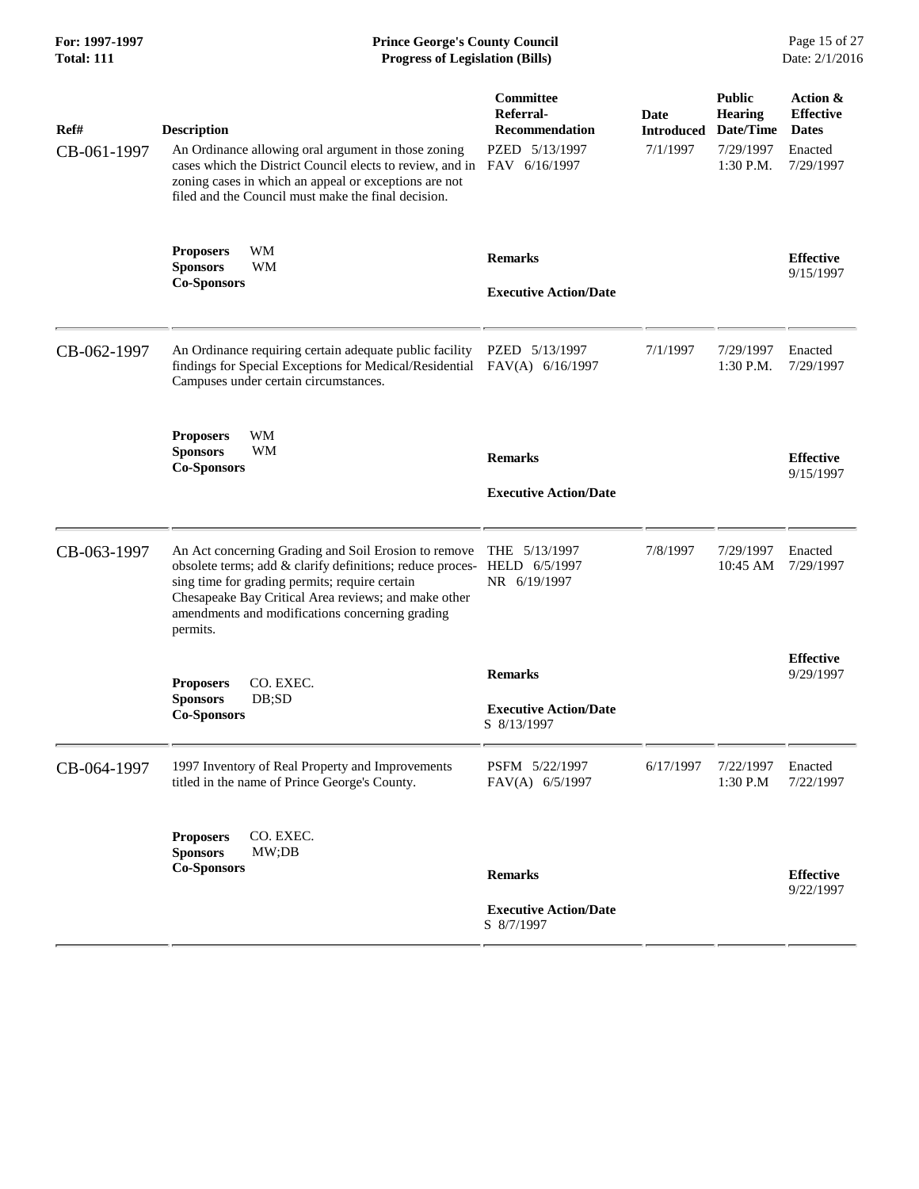### **For: 1997-1997 Prince George's County Council** Page 15 of 27<br> **Prince George's County Council** Page 15 of 27<br> **Progress of Legislation (Bills)** Date: 2/1/2016 **Total: 111 Progress of Legislation (Bills)**

| Ref#<br>CB-061-1997 | <b>Description</b><br>An Ordinance allowing oral argument in those zoning<br>cases which the District Council elects to review, and in FAV 6/16/1997<br>zoning cases in which an appeal or exceptions are not<br>filed and the Council must make the final decision.                                     | Committee<br>Referral-<br><b>Recommendation</b><br>PZED 5/13/1997 | Date<br><b>Introduced</b><br>7/1/1997 | <b>Public</b><br><b>Hearing</b><br>Date/Time<br>7/29/1997<br>$1:30$ P.M. | Action &<br><b>Effective</b><br><b>Dates</b><br>Enacted<br>7/29/1997 |
|---------------------|----------------------------------------------------------------------------------------------------------------------------------------------------------------------------------------------------------------------------------------------------------------------------------------------------------|-------------------------------------------------------------------|---------------------------------------|--------------------------------------------------------------------------|----------------------------------------------------------------------|
|                     | WM<br><b>Proposers</b><br><b>Sponsors</b><br>WM<br><b>Co-Sponsors</b>                                                                                                                                                                                                                                    | <b>Remarks</b><br><b>Executive Action/Date</b>                    |                                       |                                                                          | <b>Effective</b><br>9/15/1997                                        |
| CB-062-1997         | An Ordinance requiring certain adequate public facility<br>findings for Special Exceptions for Medical/Residential FAV(A) 6/16/1997<br>Campuses under certain circumstances.                                                                                                                             | PZED 5/13/1997                                                    | 7/1/1997                              | 7/29/1997<br>1:30 P.M.                                                   | Enacted<br>7/29/1997                                                 |
|                     | WM<br><b>Proposers</b><br><b>Sponsors</b><br><b>WM</b><br><b>Co-Sponsors</b>                                                                                                                                                                                                                             | <b>Remarks</b><br><b>Executive Action/Date</b>                    |                                       |                                                                          | <b>Effective</b><br>9/15/1997                                        |
| CB-063-1997         | An Act concerning Grading and Soil Erosion to remove<br>obsolete terms; add & clarify definitions; reduce proces- HELD 6/5/1997<br>sing time for grading permits; require certain<br>Chesapeake Bay Critical Area reviews; and make other<br>amendments and modifications concerning grading<br>permits. | THE 5/13/1997<br>NR 6/19/1997                                     | 7/8/1997                              | 7/29/1997<br>10:45 AM                                                    | Enacted<br>7/29/1997                                                 |
|                     | CO. EXEC.<br><b>Proposers</b><br><b>Sponsors</b><br>DB;SD<br><b>Co-Sponsors</b>                                                                                                                                                                                                                          | <b>Remarks</b><br><b>Executive Action/Date</b><br>S 8/13/1997     |                                       |                                                                          | <b>Effective</b><br>9/29/1997                                        |
| CB-064-1997         | 1997 Inventory of Real Property and Improvements<br>titled in the name of Prince George's County.                                                                                                                                                                                                        | PSFM 5/22/1997<br>FAV(A) 6/5/1997                                 | 6/17/1997                             | 7/22/1997<br>1:30 P.M                                                    | Enacted<br>7/22/1997                                                 |
|                     | CO. EXEC.<br><b>Proposers</b><br><b>Sponsors</b><br>MW;DB<br><b>Co-Sponsors</b>                                                                                                                                                                                                                          | <b>Remarks</b><br><b>Executive Action/Date</b><br>S 8/7/1997      |                                       |                                                                          | <b>Effective</b><br>9/22/1997                                        |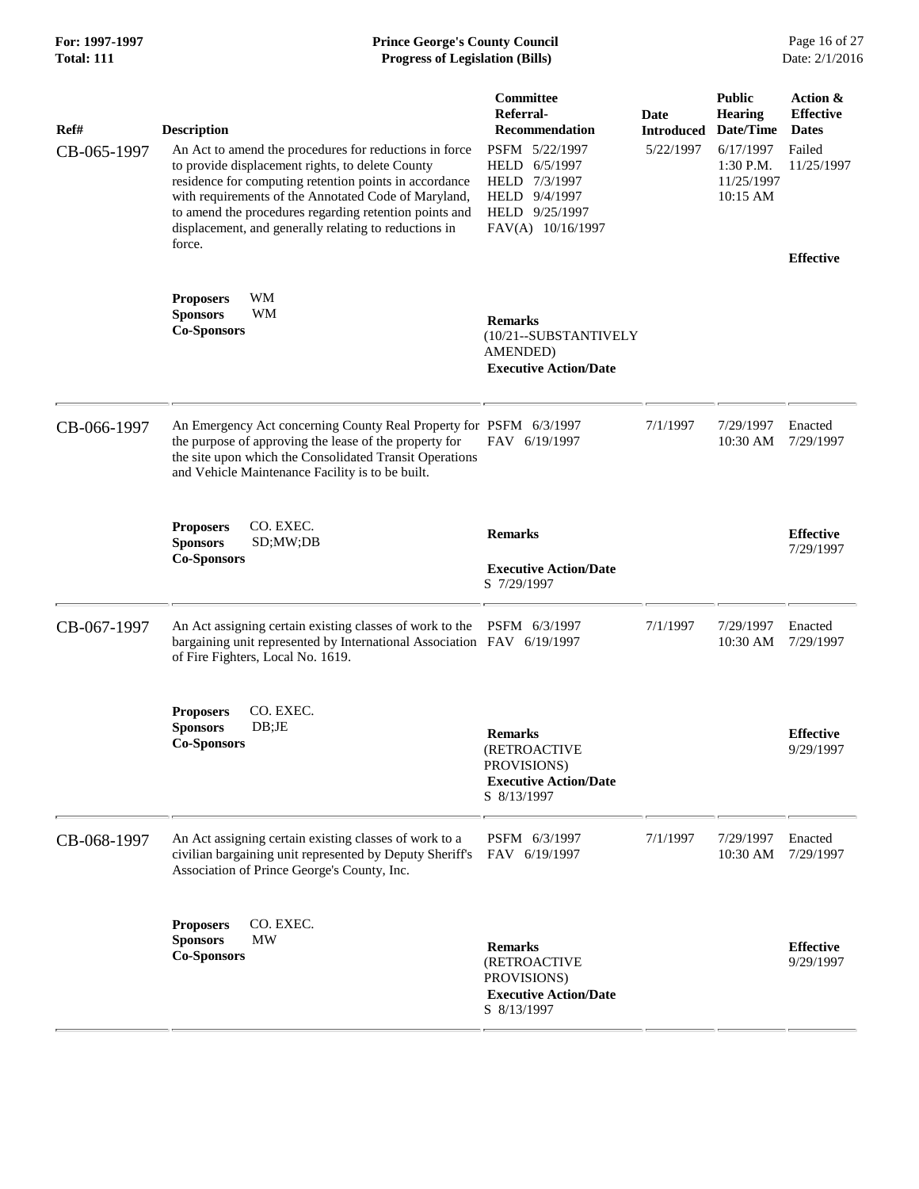# **For: 1997-1997 Prince George's County Council** Page 16 of 27<br> **Prince George's County Council** Page 16 of 27<br> **Progress of Legislation (Bills)** Date: 2/1/2016 **Total: 111 Progress of Legislation (Bills)**

| Ref#<br>CB-065-1997 | <b>Description</b><br>An Act to amend the procedures for reductions in force<br>to provide displacement rights, to delete County<br>residence for computing retention points in accordance<br>with requirements of the Annotated Code of Maryland,<br>to amend the procedures regarding retention points and<br>displacement, and generally relating to reductions in<br>force. | Committee<br>Referral-<br><b>Recommendation</b><br>PSFM 5/22/1997<br>HELD<br>6/5/1997<br>HELD 7/3/1997<br>HELD 9/4/1997<br>HELD 9/25/1997<br>FAV(A) 10/16/1997 | Date<br><b>Introduced</b><br>5/22/1997 | <b>Public</b><br><b>Hearing</b><br>Date/Time<br>6/17/1997<br>1:30 P.M.<br>11/25/1997<br>10:15 AM | Action &<br><b>Effective</b><br><b>Dates</b><br>Failed<br>11/25/1997<br><b>Effective</b> |
|---------------------|---------------------------------------------------------------------------------------------------------------------------------------------------------------------------------------------------------------------------------------------------------------------------------------------------------------------------------------------------------------------------------|----------------------------------------------------------------------------------------------------------------------------------------------------------------|----------------------------------------|--------------------------------------------------------------------------------------------------|------------------------------------------------------------------------------------------|
|                     | WM<br><b>Proposers</b><br><b>Sponsors</b><br>WМ<br><b>Co-Sponsors</b>                                                                                                                                                                                                                                                                                                           | <b>Remarks</b><br>(10/21--SUBSTANTIVELY<br><b>AMENDED</b> )<br><b>Executive Action/Date</b>                                                                    |                                        |                                                                                                  |                                                                                          |
| CB-066-1997         | An Emergency Act concerning County Real Property for PSFM 6/3/1997<br>the purpose of approving the lease of the property for<br>the site upon which the Consolidated Transit Operations<br>and Vehicle Maintenance Facility is to be built.                                                                                                                                     | FAV 6/19/1997                                                                                                                                                  | 7/1/1997                               | 7/29/1997<br>10:30 AM                                                                            | Enacted<br>7/29/1997                                                                     |
|                     | CO. EXEC.<br><b>Proposers</b><br><b>Sponsors</b><br>SD;MW;DB<br><b>Co-Sponsors</b>                                                                                                                                                                                                                                                                                              | <b>Remarks</b><br><b>Executive Action/Date</b><br>S 7/29/1997                                                                                                  |                                        |                                                                                                  | <b>Effective</b><br>7/29/1997                                                            |
| CB-067-1997         | An Act assigning certain existing classes of work to the PSFM 6/3/1997<br>bargaining unit represented by International Association FAV 6/19/1997<br>of Fire Fighters, Local No. 1619.                                                                                                                                                                                           |                                                                                                                                                                | 7/1/1997                               | 7/29/1997<br>10:30 AM                                                                            | Enacted<br>7/29/1997                                                                     |
|                     | CO. EXEC.<br><b>Proposers</b><br><b>Sponsors</b><br>DB;JE<br><b>Co-Sponsors</b>                                                                                                                                                                                                                                                                                                 | <b>Remarks</b><br><b>(RETROACTIVE</b><br>PROVISIONS)<br><b>Executive Action/Date</b><br>S 8/13/1997                                                            |                                        |                                                                                                  | <b>Effective</b><br>9/29/1997                                                            |
| CB-068-1997         | An Act assigning certain existing classes of work to a<br>civilian bargaining unit represented by Deputy Sheriff's<br>Association of Prince George's County, Inc.                                                                                                                                                                                                               | PSFM 6/3/1997<br>FAV 6/19/1997                                                                                                                                 | 7/1/1997                               | 7/29/1997<br>10:30 AM                                                                            | Enacted<br>7/29/1997                                                                     |
|                     | CO. EXEC.<br><b>Proposers</b><br>MW<br><b>Sponsors</b><br><b>Co-Sponsors</b>                                                                                                                                                                                                                                                                                                    | <b>Remarks</b><br>(RETROACTIVE<br>PROVISIONS)<br><b>Executive Action/Date</b><br>S 8/13/1997                                                                   |                                        |                                                                                                  | <b>Effective</b><br>9/29/1997                                                            |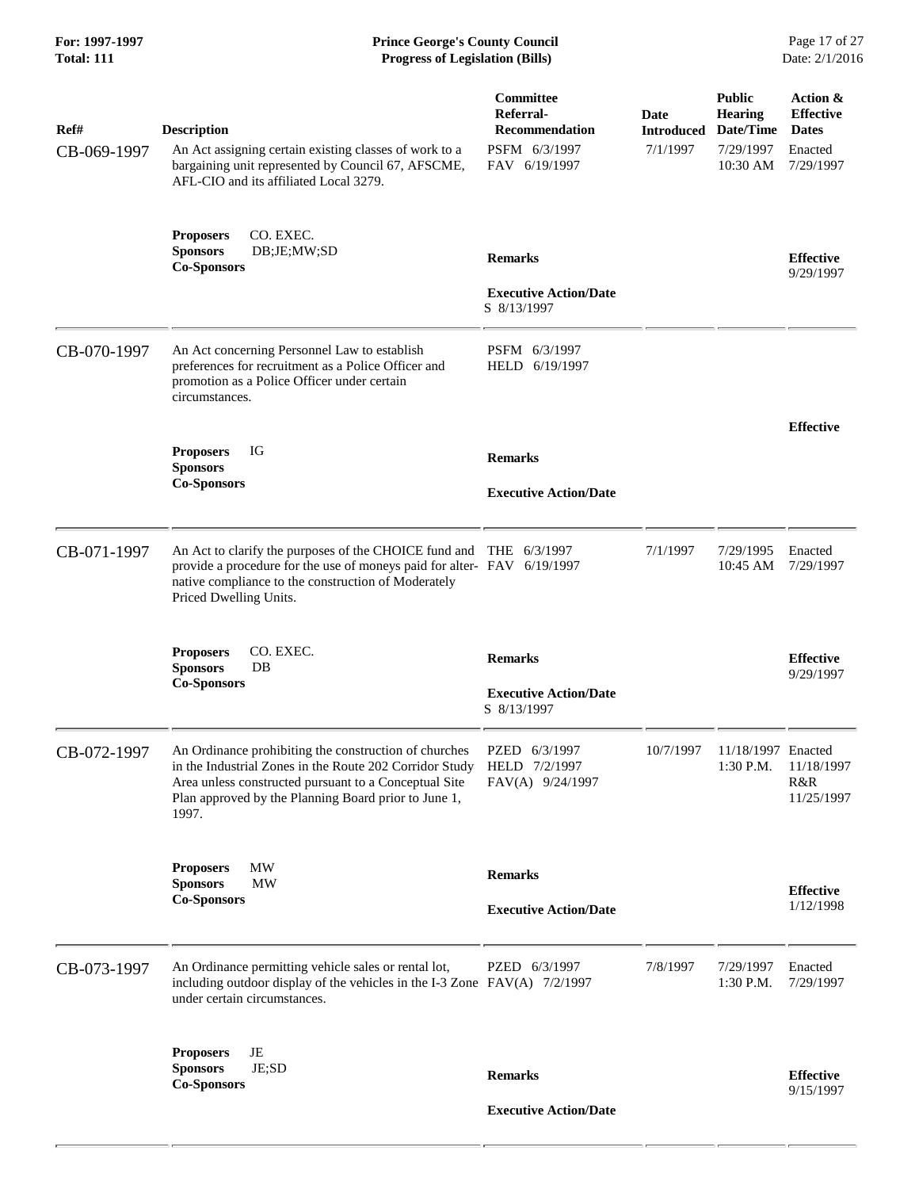### **For: 1997-1997 Prince George's County Council** Page 17 of 27<br> **Prince George's County Council** Page 17 of 27<br> **Progress of Legislation (Bills)** Date: 2/1/2016 **Total: 111 Progress of Legislation (Bills)**

| Ref#        | <b>Description</b>                                                                                                                                                                                                                         | Committee<br>Referral-<br><b>Recommendation</b>    | Date<br><b>Introduced</b> | <b>Public</b><br><b>Hearing</b><br>Date/Time | Action &<br><b>Effective</b><br><b>Dates</b> |
|-------------|--------------------------------------------------------------------------------------------------------------------------------------------------------------------------------------------------------------------------------------------|----------------------------------------------------|---------------------------|----------------------------------------------|----------------------------------------------|
| CB-069-1997 | An Act assigning certain existing classes of work to a<br>bargaining unit represented by Council 67, AFSCME,<br>AFL-CIO and its affiliated Local 3279.                                                                                     | PSFM 6/3/1997<br>FAV 6/19/1997                     | 7/1/1997                  | 7/29/1997<br>10:30 AM                        | Enacted<br>7/29/1997                         |
|             | <b>Proposers</b><br>CO. EXEC.<br><b>Sponsors</b><br>DB;JE;MW;SD<br><b>Co-Sponsors</b>                                                                                                                                                      | <b>Remarks</b>                                     |                           |                                              | <b>Effective</b><br>9/29/1997                |
|             |                                                                                                                                                                                                                                            | <b>Executive Action/Date</b><br>S 8/13/1997        |                           |                                              |                                              |
| CB-070-1997 | An Act concerning Personnel Law to establish<br>preferences for recruitment as a Police Officer and<br>promotion as a Police Officer under certain<br>circumstances.                                                                       | PSFM 6/3/1997<br>HELD 6/19/1997                    |                           |                                              |                                              |
|             | <b>Proposers</b><br>IG                                                                                                                                                                                                                     | <b>Remarks</b>                                     |                           |                                              | <b>Effective</b>                             |
|             | <b>Sponsors</b><br><b>Co-Sponsors</b>                                                                                                                                                                                                      | <b>Executive Action/Date</b>                       |                           |                                              |                                              |
|             |                                                                                                                                                                                                                                            |                                                    |                           |                                              |                                              |
| CB-071-1997 | An Act to clarify the purposes of the CHOICE fund and THE 6/3/1997<br>provide a procedure for the use of moneys paid for alter- FAV 6/19/1997<br>native compliance to the construction of Moderately<br>Priced Dwelling Units.             |                                                    | 7/1/1997                  | 7/29/1995<br>10:45 AM                        | Enacted<br>7/29/1997                         |
|             | CO. EXEC.<br><b>Proposers</b><br><b>Sponsors</b><br>DB<br><b>Co-Sponsors</b>                                                                                                                                                               | <b>Remarks</b><br><b>Executive Action/Date</b>     |                           |                                              | <b>Effective</b><br>9/29/1997                |
|             |                                                                                                                                                                                                                                            | S 8/13/1997                                        |                           |                                              |                                              |
| CB-072-1997 | An Ordinance prohibiting the construction of churches<br>in the Industrial Zones in the Route 202 Corridor Study<br>Area unless constructed pursuant to a Conceptual Site<br>Plan approved by the Planning Board prior to June 1,<br>1997. | PZED 6/3/1997<br>HELD 7/2/1997<br>FAV(A) 9/24/1997 | 10/7/1997                 | 11/18/1997 Enacted<br>1:30 P.M.              | 11/18/1997<br>R&R<br>11/25/1997              |
|             | MW<br><b>Proposers</b>                                                                                                                                                                                                                     | <b>Remarks</b>                                     |                           |                                              |                                              |
|             | <b>Sponsors</b><br>MW<br><b>Co-Sponsors</b>                                                                                                                                                                                                | <b>Executive Action/Date</b>                       |                           |                                              | <b>Effective</b><br>1/12/1998                |
| CB-073-1997 | An Ordinance permitting vehicle sales or rental lot,<br>including outdoor display of the vehicles in the I-3 Zone FAV(A) 7/2/1997<br>under certain circumstances.                                                                          | PZED 6/3/1997                                      | 7/8/1997                  | 7/29/1997<br>1:30 P.M.                       | Enacted<br>7/29/1997                         |
|             | JE<br><b>Proposers</b><br><b>Sponsors</b><br>JE;SD<br><b>Co-Sponsors</b>                                                                                                                                                                   | <b>Remarks</b>                                     |                           |                                              | <b>Effective</b><br>9/15/1997                |
|             |                                                                                                                                                                                                                                            | <b>Executive Action/Date</b>                       |                           |                                              |                                              |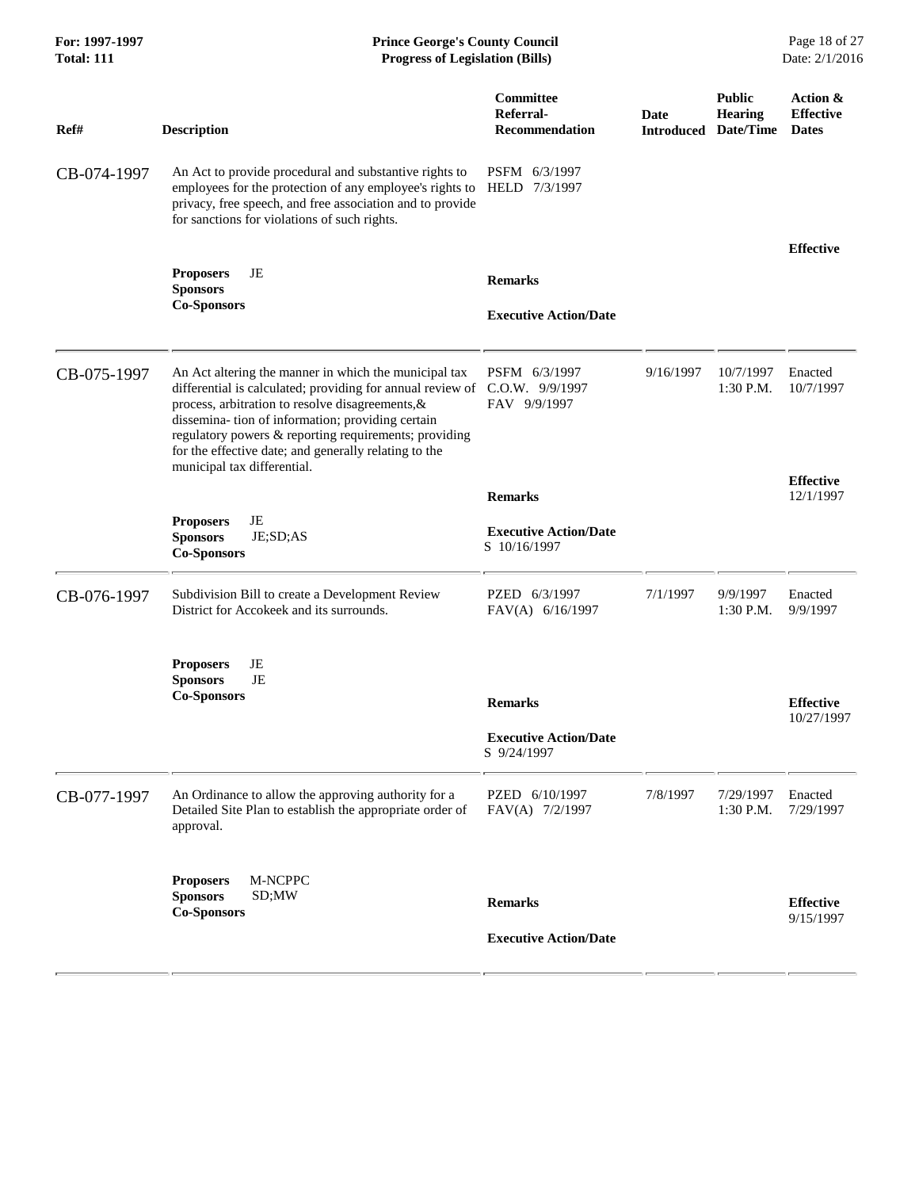| For: 1997-1997<br><b>Total: 111</b> | <b>Prince George's County Council</b><br><b>Progress of Legislation (Bills)</b>                                                                                                                                                                                                                                                                                                               |                                                                |                           |                                              | Page 18 of 27<br>Date: 2/1/2016              |  |
|-------------------------------------|-----------------------------------------------------------------------------------------------------------------------------------------------------------------------------------------------------------------------------------------------------------------------------------------------------------------------------------------------------------------------------------------------|----------------------------------------------------------------|---------------------------|----------------------------------------------|----------------------------------------------|--|
| Ref#                                | <b>Description</b>                                                                                                                                                                                                                                                                                                                                                                            | Committee<br>Referral-<br><b>Recommendation</b>                | Date<br><b>Introduced</b> | <b>Public</b><br><b>Hearing</b><br>Date/Time | Action &<br><b>Effective</b><br><b>Dates</b> |  |
| CB-074-1997                         | An Act to provide procedural and substantive rights to<br>employees for the protection of any employee's rights to<br>privacy, free speech, and free association and to provide<br>for sanctions for violations of such rights.                                                                                                                                                               | PSFM 6/3/1997<br>HELD 7/3/1997                                 |                           |                                              |                                              |  |
|                                     | JE<br><b>Proposers</b><br><b>Sponsors</b><br><b>Co-Sponsors</b>                                                                                                                                                                                                                                                                                                                               | <b>Remarks</b><br><b>Executive Action/Date</b>                 |                           |                                              | <b>Effective</b>                             |  |
| CB-075-1997                         | An Act altering the manner in which the municipal tax<br>differential is calculated; providing for annual review of C.O.W. 9/9/1997<br>process, arbitration to resolve disagreements, &<br>dissemina- tion of information; providing certain<br>regulatory powers & reporting requirements; providing<br>for the effective date; and generally relating to the<br>municipal tax differential. | PSFM 6/3/1997<br>FAV 9/9/1997                                  | 9/16/1997                 | 10/7/1997<br>$1:30$ P.M.                     | Enacted<br>10/7/1997                         |  |
|                                     | JE<br><b>Proposers</b><br><b>Sponsors</b><br>JE;SD;AS                                                                                                                                                                                                                                                                                                                                         | <b>Remarks</b><br><b>Executive Action/Date</b><br>S 10/16/1997 |                           |                                              | <b>Effective</b><br>12/1/1997                |  |
| CB-076-1997                         | <b>Co-Sponsors</b><br>Subdivision Bill to create a Development Review<br>District for Accokeek and its surrounds.                                                                                                                                                                                                                                                                             | PZED 6/3/1997<br>FAV(A) 6/16/1997                              | 7/1/1997                  | 9/9/1997<br>1:30 P.M.                        | Enacted<br>9/9/1997                          |  |
|                                     | JE<br><b>Proposers</b><br>JE<br><b>Sponsors</b><br><b>Co-Sponsors</b>                                                                                                                                                                                                                                                                                                                         | <b>Remarks</b><br><b>Executive Action/Date</b><br>S 9/24/1997  |                           |                                              | <b>Effective</b><br>10/27/1997               |  |
| CB-077-1997                         | An Ordinance to allow the approving authority for a<br>Detailed Site Plan to establish the appropriate order of<br>approval.                                                                                                                                                                                                                                                                  | PZED 6/10/1997<br>FAV(A) 7/2/1997                              | 7/8/1997                  | 7/29/1997<br>1:30 P.M.                       | Enacted<br>7/29/1997                         |  |
|                                     | <b>Proposers</b><br>M-NCPPC<br><b>Sponsors</b><br>SD;MW<br><b>Co-Sponsors</b>                                                                                                                                                                                                                                                                                                                 | <b>Remarks</b><br><b>Executive Action/Date</b>                 |                           |                                              | <b>Effective</b><br>9/15/1997                |  |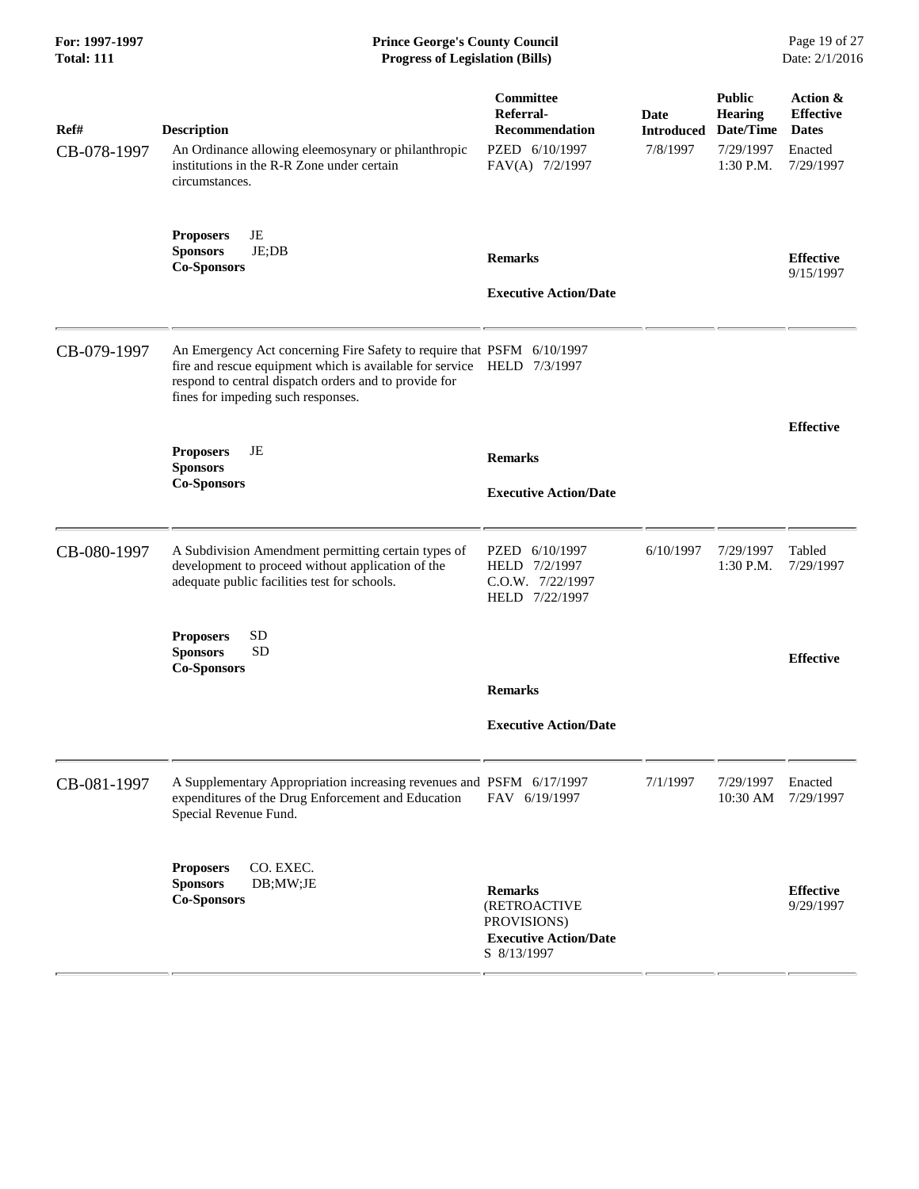| For: 1997-1997 |  |
|----------------|--|
| Total: 111     |  |

#### **Prince George's County Council** Page 19 of 27<br>**Progress of Legislation (Bills)** Date: 2/1/2016  $Progress$  of Legislation (Bills)

| Ref#<br>CB-078-1997 | <b>Description</b><br>An Ordinance allowing eleemosynary or philanthropic<br>institutions in the R-R Zone under certain<br>circumstances.                                                                                                       | Committee<br>Referral-<br><b>Recommendation</b><br>PZED 6/10/1997<br>FAV(A) 7/2/1997         | Date<br><b>Introduced</b><br>7/8/1997 | <b>Public</b><br><b>Hearing</b><br>Date/Time<br>7/29/1997<br>$1:30$ P.M. | Action &<br><b>Effective</b><br><b>Dates</b><br>Enacted<br>7/29/1997 |
|---------------------|-------------------------------------------------------------------------------------------------------------------------------------------------------------------------------------------------------------------------------------------------|----------------------------------------------------------------------------------------------|---------------------------------------|--------------------------------------------------------------------------|----------------------------------------------------------------------|
|                     | JE<br><b>Proposers</b><br><b>Sponsors</b><br>$JE$ ; $DB$<br><b>Co-Sponsors</b>                                                                                                                                                                  | <b>Remarks</b><br><b>Executive Action/Date</b>                                               |                                       |                                                                          | <b>Effective</b><br>9/15/1997                                        |
| CB-079-1997         | An Emergency Act concerning Fire Safety to require that PSFM 6/10/1997<br>fire and rescue equipment which is available for service HELD 7/3/1997<br>respond to central dispatch orders and to provide for<br>fines for impeding such responses. |                                                                                              |                                       |                                                                          |                                                                      |
|                     | JE<br><b>Proposers</b><br><b>Sponsors</b><br><b>Co-Sponsors</b>                                                                                                                                                                                 | <b>Remarks</b><br><b>Executive Action/Date</b>                                               |                                       |                                                                          | <b>Effective</b>                                                     |
| CB-080-1997         | A Subdivision Amendment permitting certain types of<br>development to proceed without application of the<br>adequate public facilities test for schools.                                                                                        | 6/10/1997<br>PZED<br>HELD 7/2/1997<br>C.O.W. 7/22/1997<br>HELD 7/22/1997                     | 6/10/1997                             | 7/29/1997<br>1:30 P.M.                                                   | Tabled<br>7/29/1997                                                  |
|                     | <b>SD</b><br><b>Proposers</b><br><b>SD</b><br><b>Sponsors</b><br><b>Co-Sponsors</b>                                                                                                                                                             | <b>Remarks</b>                                                                               |                                       |                                                                          | <b>Effective</b>                                                     |
|                     |                                                                                                                                                                                                                                                 | <b>Executive Action/Date</b>                                                                 |                                       |                                                                          |                                                                      |
| CB-081-1997         | A Supplementary Appropriation increasing revenues and PSFM 6/17/1997<br>expenditures of the Drug Enforcement and Education<br>Special Revenue Fund.                                                                                             | FAV 6/19/1997                                                                                | 7/1/1997                              | 7/29/1997<br>10:30 AM                                                    | Enacted<br>7/29/1997                                                 |
|                     | CO. EXEC.<br><b>Proposers</b><br><b>Sponsors</b><br>DB;MW;JE<br><b>Co-Sponsors</b>                                                                                                                                                              | <b>Remarks</b><br>(RETROACTIVE<br>PROVISIONS)<br><b>Executive Action/Date</b><br>S 8/13/1997 |                                       |                                                                          | <b>Effective</b><br>9/29/1997                                        |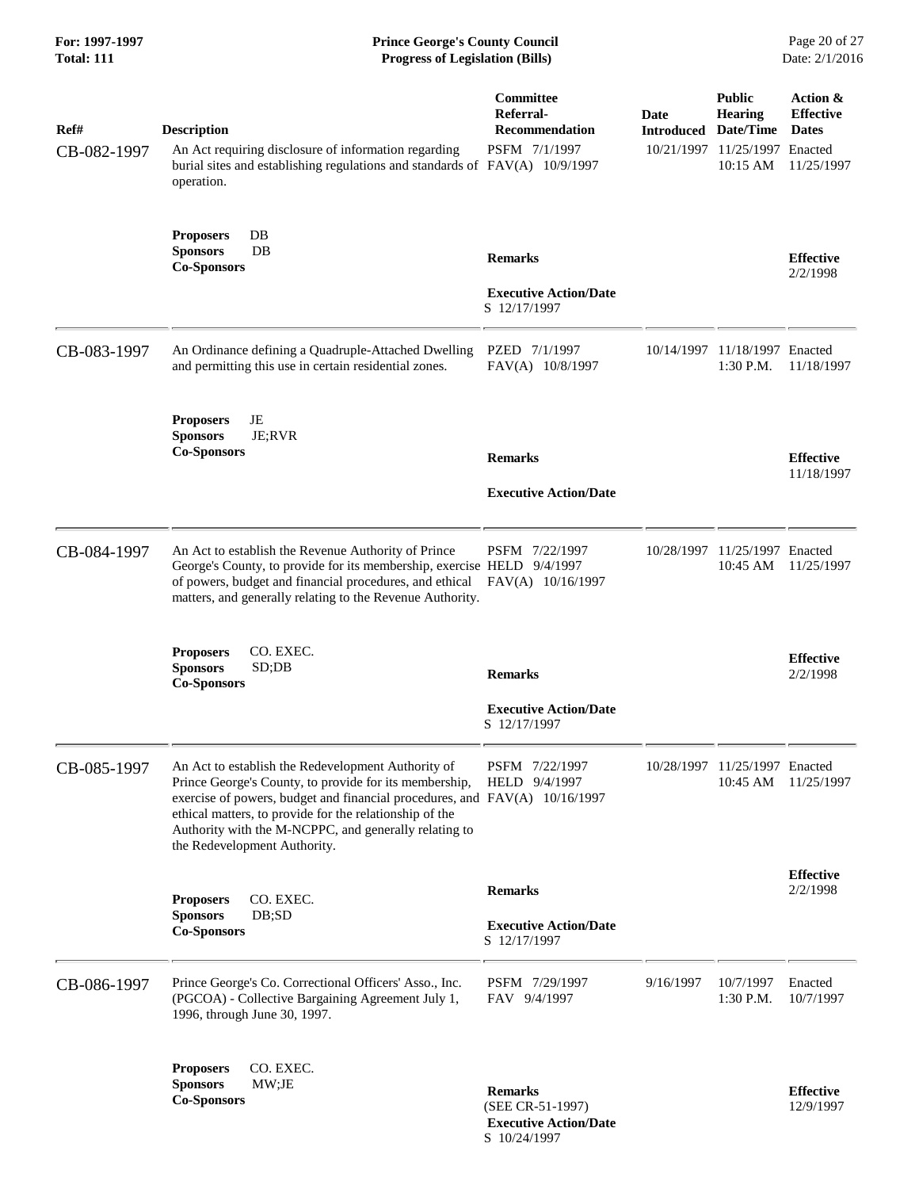| For: 1997-1997<br><b>Total: 111</b> | <b>Prince George's County Council</b><br><b>Progress of Legislation (Bills)</b>                                                                                                                                                                                                                                                                |                                                                                    |                           |                                                                                           | Page 20 of 27<br>Date: 2/1/2016                            |
|-------------------------------------|------------------------------------------------------------------------------------------------------------------------------------------------------------------------------------------------------------------------------------------------------------------------------------------------------------------------------------------------|------------------------------------------------------------------------------------|---------------------------|-------------------------------------------------------------------------------------------|------------------------------------------------------------|
| Ref#<br>CB-082-1997                 | <b>Description</b><br>An Act requiring disclosure of information regarding<br>burial sites and establishing regulations and standards of FAV(A) 10/9/1997<br>operation.                                                                                                                                                                        | Committee<br>Referral-<br><b>Recommendation</b><br>PSFM 7/1/1997                   | Date<br><b>Introduced</b> | <b>Public</b><br><b>Hearing</b><br>Date/Time<br>10/21/1997 11/25/1997 Enacted<br>10:15 AM | Action &<br><b>Effective</b><br><b>Dates</b><br>11/25/1997 |
|                                     | DB<br><b>Proposers</b><br><b>Sponsors</b><br>DB<br><b>Co-Sponsors</b>                                                                                                                                                                                                                                                                          | <b>Remarks</b><br><b>Executive Action/Date</b><br>S 12/17/1997                     |                           |                                                                                           | <b>Effective</b><br>2/2/1998                               |
| CB-083-1997                         | An Ordinance defining a Quadruple-Attached Dwelling<br>and permitting this use in certain residential zones.                                                                                                                                                                                                                                   | PZED 7/1/1997<br>FAV(A) 10/8/1997                                                  | 10/14/1997                | 11/18/1997 Enacted<br>$1:30$ P.M.                                                         | 11/18/1997                                                 |
|                                     | JE<br><b>Proposers</b><br><b>Sponsors</b><br>JE;RVR<br><b>Co-Sponsors</b>                                                                                                                                                                                                                                                                      | <b>Remarks</b><br><b>Executive Action/Date</b>                                     |                           |                                                                                           | <b>Effective</b><br>11/18/1997                             |
| CB-084-1997                         | An Act to establish the Revenue Authority of Prince<br>George's County, to provide for its membership, exercise HELD 9/4/1997<br>of powers, budget and financial procedures, and ethical FAV(A) 10/16/1997<br>matters, and generally relating to the Revenue Authority.                                                                        | PSFM 7/22/1997                                                                     |                           | 10/28/1997 11/25/1997 Enacted<br>10:45 AM                                                 | 11/25/1997                                                 |
|                                     | CO. EXEC.<br><b>Proposers</b><br><b>Sponsors</b><br>SD;DB<br><b>Co-Sponsors</b>                                                                                                                                                                                                                                                                | <b>Remarks</b><br><b>Executive Action/Date</b><br>S 12/17/1997                     |                           |                                                                                           | <b>Effective</b><br>2/2/1998                               |
| CB-085-1997                         | An Act to establish the Redevelopment Authority of<br>Prince George's County, to provide for its membership,<br>exercise of powers, budget and financial procedures, and FAV(A) 10/16/1997<br>ethical matters, to provide for the relationship of the<br>Authority with the M-NCPPC, and generally relating to<br>the Redevelopment Authority. | PSFM 7/22/1997<br>HELD 9/4/1997                                                    |                           | 10/28/1997 11/25/1997 Enacted<br>10:45 AM                                                 | 11/25/1997                                                 |
|                                     | CO. EXEC.<br><b>Proposers</b><br><b>Sponsors</b><br>DB;SD<br><b>Co-Sponsors</b>                                                                                                                                                                                                                                                                | <b>Remarks</b><br><b>Executive Action/Date</b><br>S 12/17/1997                     |                           |                                                                                           | <b>Effective</b><br>2/2/1998                               |
| CB-086-1997                         | Prince George's Co. Correctional Officers' Asso., Inc.<br>(PGCOA) - Collective Bargaining Agreement July 1,<br>1996, through June 30, 1997.                                                                                                                                                                                                    | PSFM 7/29/1997<br>FAV 9/4/1997                                                     | 9/16/1997                 | 10/7/1997<br>1:30 P.M.                                                                    | Enacted<br>10/7/1997                                       |
|                                     | CO. EXEC.<br><b>Proposers</b><br><b>Sponsors</b><br>MW;JE<br><b>Co-Sponsors</b>                                                                                                                                                                                                                                                                | <b>Remarks</b><br>(SEE CR-51-1997)<br><b>Executive Action/Date</b><br>S 10/24/1997 |                           |                                                                                           | <b>Effective</b><br>12/9/1997                              |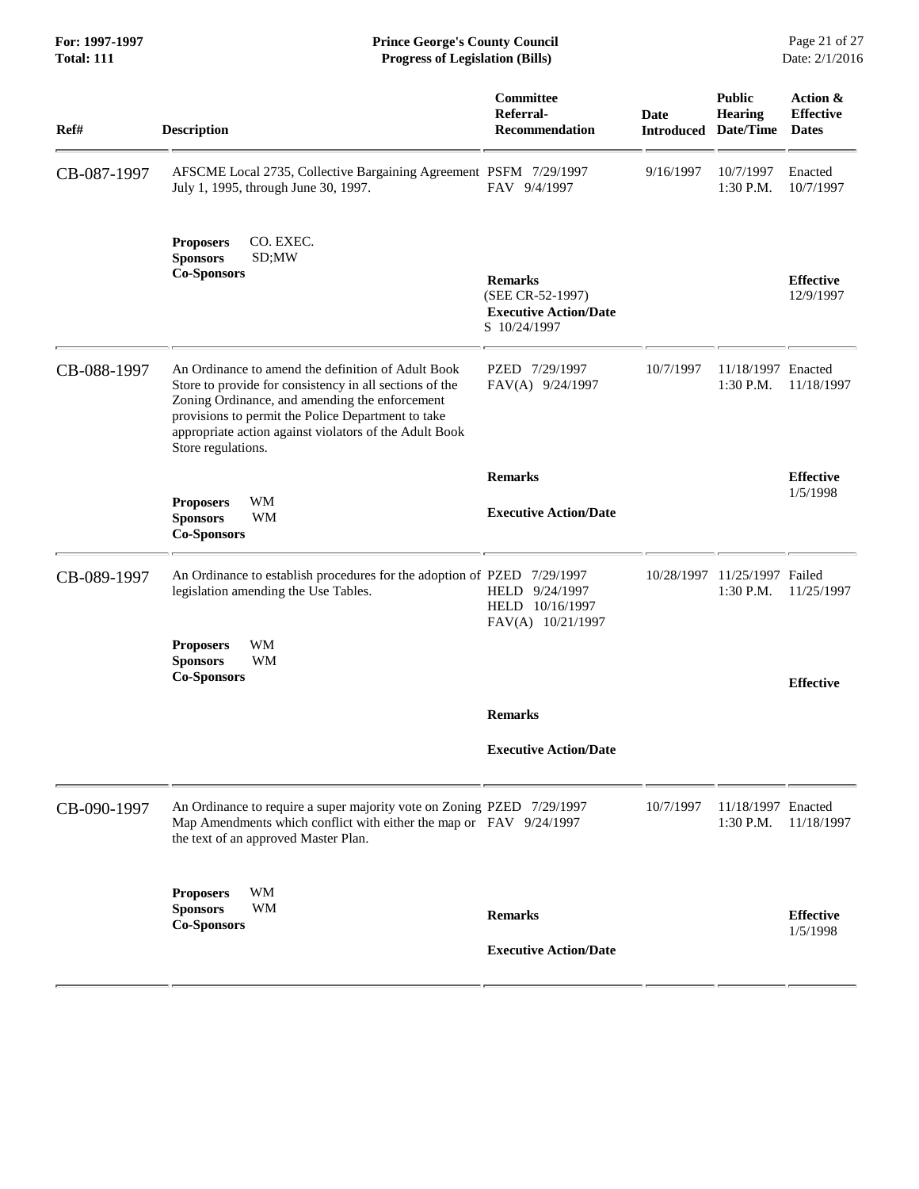**For: 1997-1997 Prince George's County Council** Page 21 of 27<br> **Prince George's County Council** Page 21 of 27<br> **Progress of Legislation (Bills)** Date: 2/1/2016 **Total: 111 Progress of Legislation (Bills)** 

| Ref#        | <b>Description</b>                                                                                                                                                                                                                                                                                    | Committee<br>Referral-<br><b>Recommendation</b>                                    | Date<br><b>Introduced</b> | <b>Public</b><br><b>Hearing</b><br>Date/Time | Action &<br><b>Effective</b><br><b>Dates</b> |
|-------------|-------------------------------------------------------------------------------------------------------------------------------------------------------------------------------------------------------------------------------------------------------------------------------------------------------|------------------------------------------------------------------------------------|---------------------------|----------------------------------------------|----------------------------------------------|
| CB-087-1997 | AFSCME Local 2735, Collective Bargaining Agreement PSFM 7/29/1997<br>July 1, 1995, through June 30, 1997.                                                                                                                                                                                             | FAV 9/4/1997                                                                       | 9/16/1997                 | 10/7/1997<br>1:30 P.M.                       | Enacted<br>10/7/1997                         |
|             | CO. EXEC.<br><b>Proposers</b><br><b>Sponsors</b><br>SD;MW<br><b>Co-Sponsors</b>                                                                                                                                                                                                                       | <b>Remarks</b><br>(SEE CR-52-1997)<br><b>Executive Action/Date</b><br>S 10/24/1997 |                           |                                              | <b>Effective</b><br>12/9/1997                |
| CB-088-1997 | An Ordinance to amend the definition of Adult Book<br>Store to provide for consistency in all sections of the<br>Zoning Ordinance, and amending the enforcement<br>provisions to permit the Police Department to take<br>appropriate action against violators of the Adult Book<br>Store regulations. | PZED 7/29/1997<br>FAV(A) 9/24/1997                                                 | 10/7/1997                 | 11/18/1997 Enacted<br>1:30 P.M.              | 11/18/1997                                   |
|             |                                                                                                                                                                                                                                                                                                       | <b>Remarks</b>                                                                     |                           |                                              | <b>Effective</b>                             |
|             | WM<br><b>Proposers</b><br><b>Sponsors</b><br>WM<br><b>Co-Sponsors</b>                                                                                                                                                                                                                                 | <b>Executive Action/Date</b>                                                       |                           |                                              | 1/5/1998                                     |
| CB-089-1997 | An Ordinance to establish procedures for the adoption of PZED 7/29/1997<br>legislation amending the Use Tables.                                                                                                                                                                                       | HELD 9/24/1997<br>HELD 10/16/1997<br>FAV(A) 10/21/1997                             | 10/28/1997                | 11/25/1997 Failed<br>1:30 P.M.               | 11/25/1997                                   |
|             | <b>WM</b><br><b>Proposers</b><br>WM<br><b>Sponsors</b><br><b>Co-Sponsors</b>                                                                                                                                                                                                                          |                                                                                    |                           |                                              | <b>Effective</b>                             |
|             |                                                                                                                                                                                                                                                                                                       | <b>Remarks</b>                                                                     |                           |                                              |                                              |
|             |                                                                                                                                                                                                                                                                                                       | <b>Executive Action/Date</b>                                                       |                           |                                              |                                              |
| CB-090-1997 | An Ordinance to require a super majority vote on Zoning PZED 7/29/1997<br>Map Amendments which conflict with either the map or FAV 9/24/1997<br>the text of an approved Master Plan.                                                                                                                  |                                                                                    | 10/7/1997                 | 11/18/1997 Enacted<br>$1:30$ P.M.            | 11/18/1997                                   |
|             | WM<br><b>Proposers</b><br>WM<br><b>Sponsors</b><br><b>Co-Sponsors</b>                                                                                                                                                                                                                                 | <b>Remarks</b><br><b>Executive Action/Date</b>                                     |                           |                                              | <b>Effective</b><br>1/5/1998                 |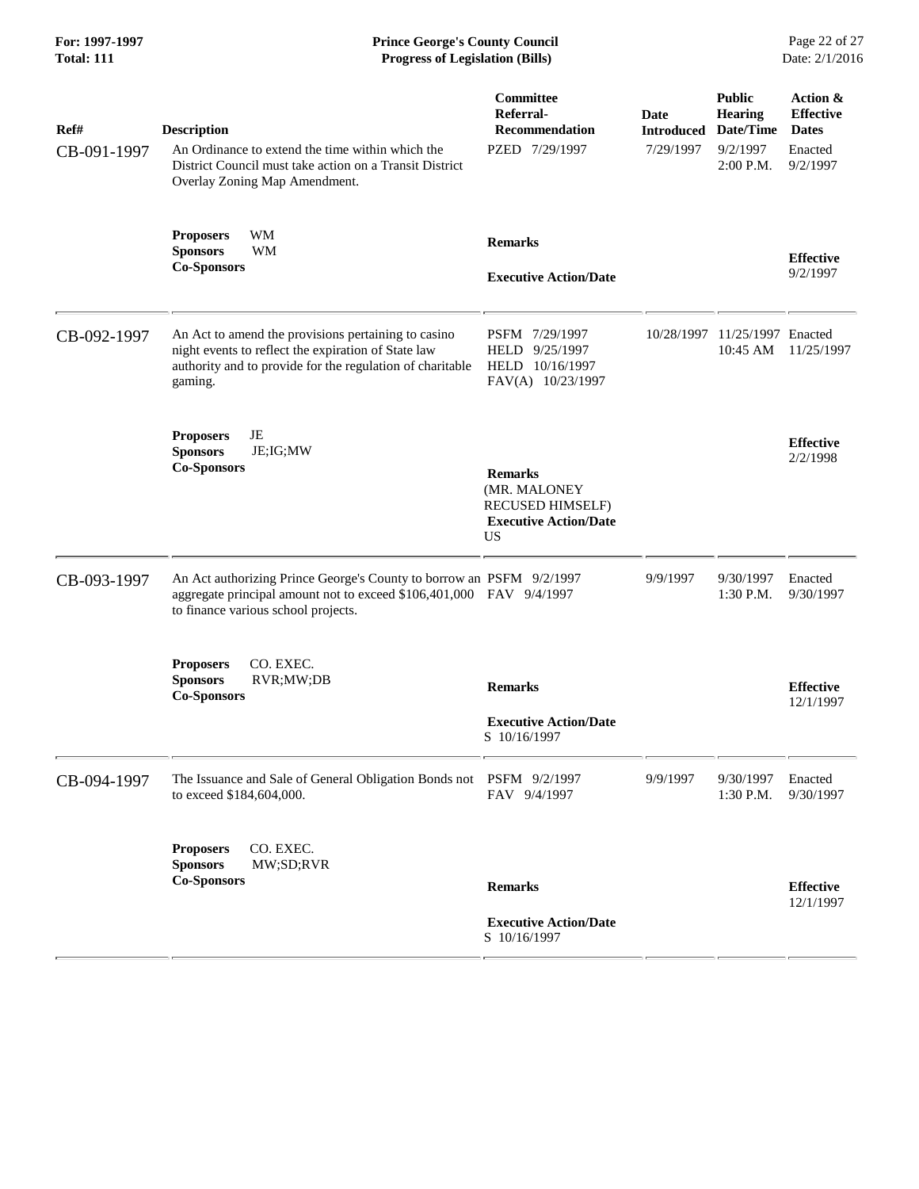| Ref#        | <b>Description</b>                                                                                                                                                                 | Committee<br>Referral-<br><b>Recommendation</b>                                                        | <b>Date</b><br><b>Introduced</b> | <b>Public</b><br>Hearing<br>Date/Time | Action &<br><b>Effective</b><br><b>Dates</b> |
|-------------|------------------------------------------------------------------------------------------------------------------------------------------------------------------------------------|--------------------------------------------------------------------------------------------------------|----------------------------------|---------------------------------------|----------------------------------------------|
| CB-091-1997 | An Ordinance to extend the time within which the<br>District Council must take action on a Transit District<br>Overlay Zoning Map Amendment.                                       | PZED 7/29/1997                                                                                         | 7/29/1997                        | 9/2/1997<br>2:00 P.M.                 | Enacted<br>9/2/1997                          |
|             | WM<br><b>Proposers</b><br><b>WM</b><br><b>Sponsors</b><br><b>Co-Sponsors</b>                                                                                                       | <b>Remarks</b><br><b>Executive Action/Date</b>                                                         |                                  |                                       | <b>Effective</b><br>9/2/1997                 |
| CB-092-1997 | An Act to amend the provisions pertaining to casino<br>night events to reflect the expiration of State law<br>authority and to provide for the regulation of charitable<br>gaming. | PSFM 7/29/1997<br>HELD 9/25/1997<br>HELD 10/16/1997<br>FAV(A) 10/23/1997                               | 10/28/1997                       | 11/25/1997 Enacted<br>10:45 AM        | 11/25/1997                                   |
|             | JE<br><b>Proposers</b><br><b>Sponsors</b><br>JE; IG; MW<br><b>Co-Sponsors</b>                                                                                                      | <b>Remarks</b><br>(MR. MALONEY<br><b>RECUSED HIMSELF)</b><br><b>Executive Action/Date</b><br><b>US</b> |                                  |                                       | <b>Effective</b><br>2/2/1998                 |
| CB-093-1997 | An Act authorizing Prince George's County to borrow an PSFM 9/2/1997<br>aggregate principal amount not to exceed \$106,401,000 FAV 9/4/1997<br>to finance various school projects. |                                                                                                        | 9/9/1997                         | 9/30/1997<br>1:30 P.M.                | Enacted<br>9/30/1997                         |
|             | CO. EXEC.<br><b>Proposers</b><br><b>Sponsors</b><br>RVR;MW;DB<br><b>Co-Sponsors</b>                                                                                                | <b>Remarks</b><br><b>Executive Action/Date</b><br>S 10/16/1997                                         |                                  |                                       | <b>Effective</b><br>12/1/1997                |
| CB-094-1997 | The Issuance and Sale of General Obligation Bonds not PSFM 9/2/1997<br>to exceed \$184,604,000.                                                                                    | FAV 9/4/1997                                                                                           | 9/9/1997                         | 9/30/1997<br>1:30 P.M.                | Enacted<br>9/30/1997                         |
|             | <b>Proposers</b><br>CO. EXEC.<br>MW;SD;RVR<br><b>Sponsors</b><br><b>Co-Sponsors</b>                                                                                                | <b>Remarks</b>                                                                                         |                                  |                                       | <b>Effective</b><br>12/1/1997                |
|             |                                                                                                                                                                                    | <b>Executive Action/Date</b><br>S 10/16/1997                                                           |                                  |                                       |                                              |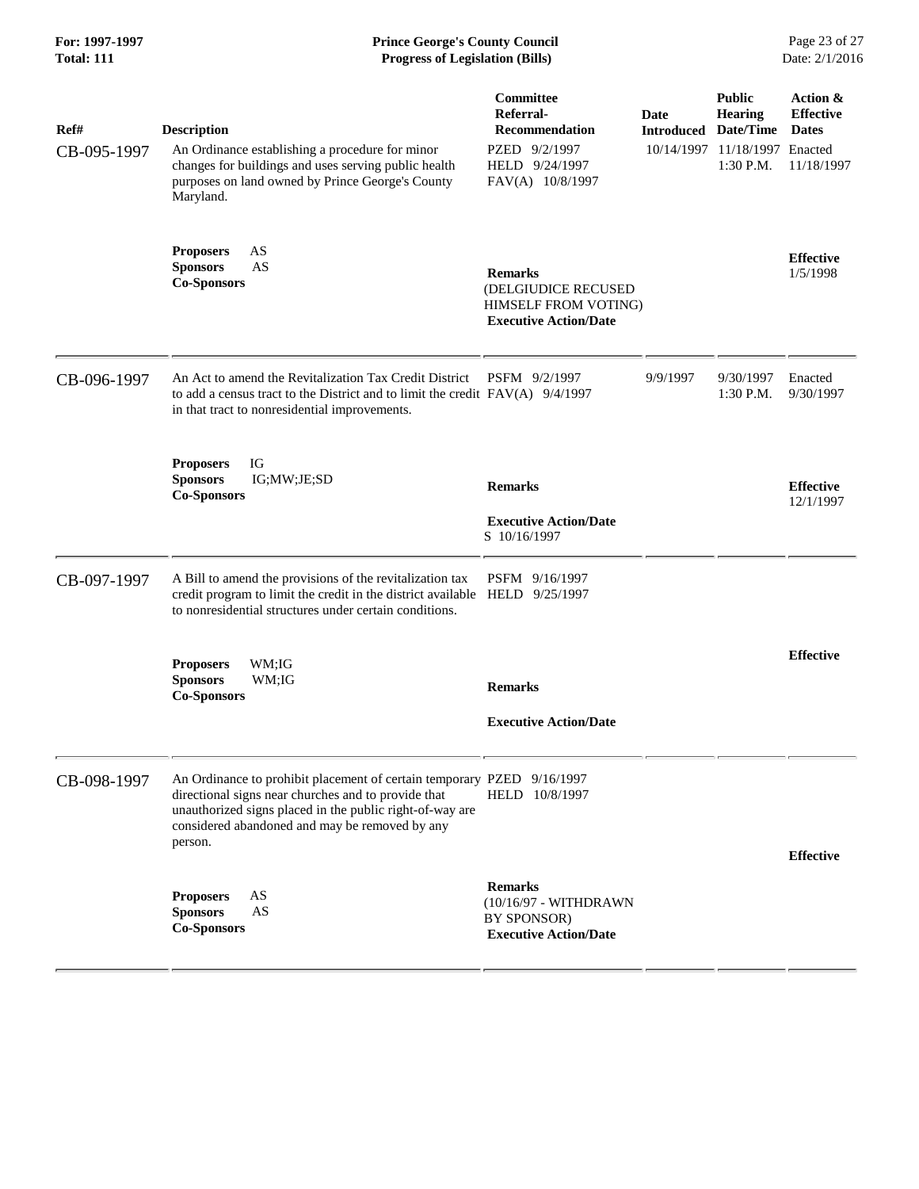| Ref#        | <b>Description</b>                                                                                                                                                                                                                                     | Committee<br>Referral-<br><b>Recommendation</b>                                               | Date<br><b>Introduced</b> | <b>Public</b><br><b>Hearing</b><br>Date/Time | Action &<br><b>Effective</b><br><b>Dates</b> |
|-------------|--------------------------------------------------------------------------------------------------------------------------------------------------------------------------------------------------------------------------------------------------------|-----------------------------------------------------------------------------------------------|---------------------------|----------------------------------------------|----------------------------------------------|
| CB-095-1997 | An Ordinance establishing a procedure for minor<br>changes for buildings and uses serving public health<br>purposes on land owned by Prince George's County<br>Maryland.                                                                               | PZED 9/2/1997<br>HELD 9/24/1997<br>FAV(A) 10/8/1997                                           |                           | 10/14/1997 11/18/1997 Enacted<br>1:30 P.M.   | 11/18/1997                                   |
|             | AS<br><b>Proposers</b><br><b>Sponsors</b><br>AS<br><b>Co-Sponsors</b>                                                                                                                                                                                  | <b>Remarks</b><br>(DELGIUDICE RECUSED<br>HIMSELF FROM VOTING)<br><b>Executive Action/Date</b> |                           |                                              | <b>Effective</b><br>1/5/1998                 |
| CB-096-1997 | An Act to amend the Revitalization Tax Credit District<br>to add a census tract to the District and to limit the credit FAV(A) 9/4/1997<br>in that tract to nonresidential improvements.                                                               | PSFM 9/2/1997                                                                                 | 9/9/1997                  | 9/30/1997<br>1:30 P.M.                       | Enacted<br>9/30/1997                         |
|             | IG<br><b>Proposers</b><br><b>Sponsors</b><br>IG;MW;JE;SD<br><b>Co-Sponsors</b>                                                                                                                                                                         | <b>Remarks</b><br><b>Executive Action/Date</b><br>S 10/16/1997                                |                           |                                              | <b>Effective</b><br>12/1/1997                |
| CB-097-1997 | A Bill to amend the provisions of the revitalization tax<br>credit program to limit the credit in the district available HELD 9/25/1997<br>to nonresidential structures under certain conditions.                                                      | PSFM 9/16/1997                                                                                |                           |                                              |                                              |
|             | WM;IG<br><b>Proposers</b><br><b>Sponsors</b><br>WM;IG<br><b>Co-Sponsors</b>                                                                                                                                                                            | <b>Remarks</b><br><b>Executive Action/Date</b>                                                |                           |                                              | <b>Effective</b>                             |
| CB-098-1997 | An Ordinance to prohibit placement of certain temporary PZED 9/16/1997<br>directional signs near churches and to provide that<br>unauthorized signs placed in the public right-of-way are<br>considered abandoned and may be removed by any<br>person. | HELD 10/8/1997                                                                                |                           |                                              | <b>Effective</b>                             |
|             | AS<br><b>Proposers</b><br>AS<br><b>Sponsors</b><br><b>Co-Sponsors</b>                                                                                                                                                                                  | <b>Remarks</b><br>(10/16/97 - WITHDRAWN<br>BY SPONSOR)<br><b>Executive Action/Date</b>        |                           |                                              |                                              |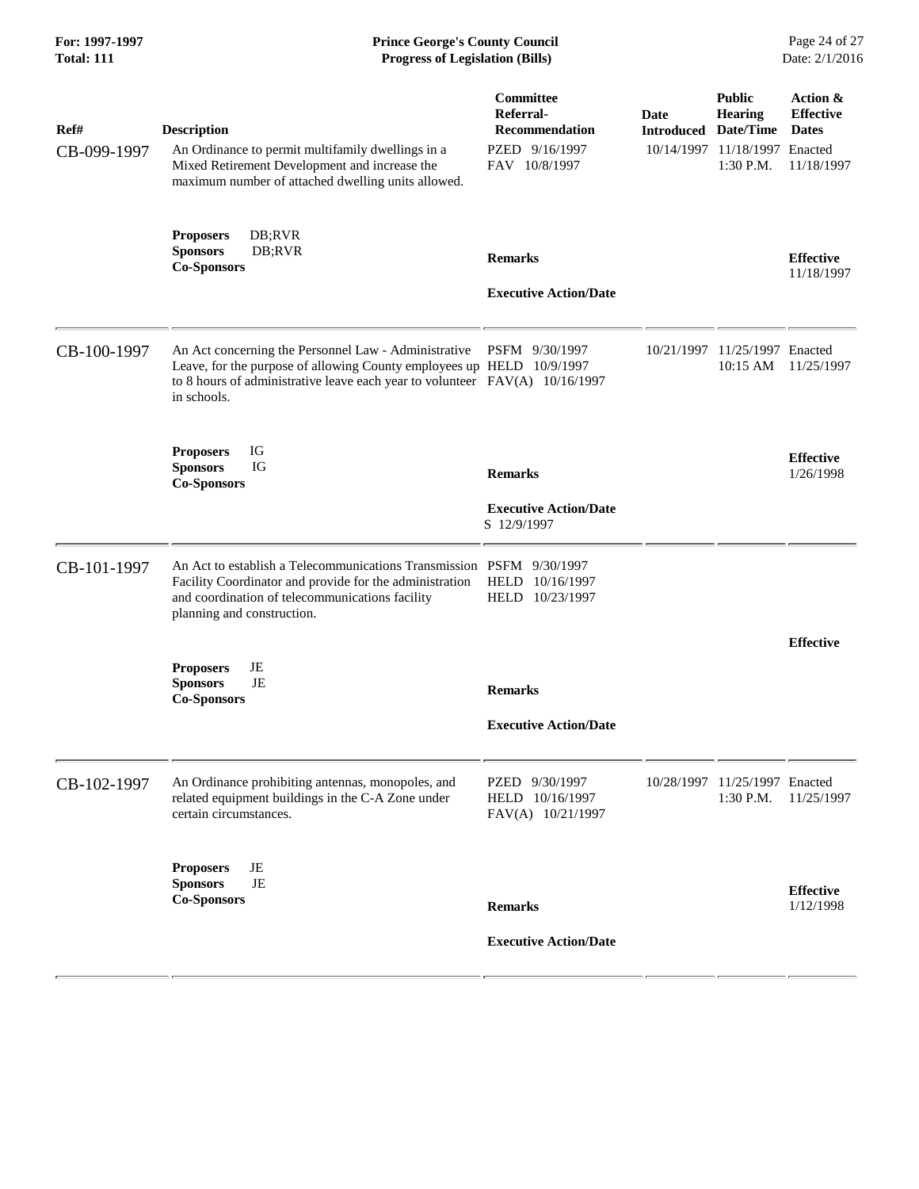| Ref#<br>CB-099-1997 | <b>Description</b><br>An Ordinance to permit multifamily dwellings in a<br>Mixed Retirement Development and increase the<br>maximum number of attached dwelling units allowed.                                                               | Committee<br>Referral-<br><b>Recommendation</b><br>PZED 9/16/1997<br>FAV 10/8/1997 | Date<br><b>Introduced</b> | <b>Public</b><br><b>Hearing</b><br>Date/Time<br>10/14/1997 11/18/1997 Enacted<br>1:30 P.M. | Action &<br><b>Effective</b><br><b>Dates</b><br>11/18/1997 |
|---------------------|----------------------------------------------------------------------------------------------------------------------------------------------------------------------------------------------------------------------------------------------|------------------------------------------------------------------------------------|---------------------------|--------------------------------------------------------------------------------------------|------------------------------------------------------------|
|                     | <b>Proposers</b><br>DB;RVR<br>DB;RVR<br><b>Sponsors</b><br><b>Co-Sponsors</b>                                                                                                                                                                | <b>Remarks</b><br><b>Executive Action/Date</b>                                     |                           |                                                                                            | <b>Effective</b><br>11/18/1997                             |
| CB-100-1997         | An Act concerning the Personnel Law - Administrative PSFM 9/30/1997<br>Leave, for the purpose of allowing County employees up HELD 10/9/1997<br>to 8 hours of administrative leave each year to volunteer $FAV(A)$ 10/16/1997<br>in schools. |                                                                                    |                           | 10/21/1997 11/25/1997 Enacted<br>$10:15$ AM                                                | 11/25/1997                                                 |
|                     | IG<br><b>Proposers</b><br>IG<br><b>Sponsors</b><br><b>Co-Sponsors</b>                                                                                                                                                                        | <b>Remarks</b><br><b>Executive Action/Date</b><br>S 12/9/1997                      |                           |                                                                                            | <b>Effective</b><br>1/26/1998                              |
| CB-101-1997         | An Act to establish a Telecommunications Transmission PSFM 9/30/1997<br>Facility Coordinator and provide for the administration<br>and coordination of telecommunications facility<br>planning and construction.                             | HELD 10/16/1997<br>HELD 10/23/1997                                                 |                           |                                                                                            |                                                            |
|                     | JE<br><b>Proposers</b><br>JE<br><b>Sponsors</b><br><b>Co-Sponsors</b>                                                                                                                                                                        | <b>Remarks</b><br><b>Executive Action/Date</b>                                     |                           |                                                                                            | <b>Effective</b>                                           |
| CB-102-1997         | An Ordinance prohibiting antennas, monopoles, and<br>related equipment buildings in the C-A Zone under<br>certain circumstances.                                                                                                             | PZED 9/30/1997<br>HELD 10/16/1997<br>FAV(A) 10/21/1997                             |                           | 10/28/1997 11/25/1997 Enacted<br>1:30 P.M.                                                 | 11/25/1997                                                 |
|                     | JE<br><b>Proposers</b><br><b>Sponsors</b><br>JE<br><b>Co-Sponsors</b>                                                                                                                                                                        | <b>Remarks</b><br><b>Executive Action/Date</b>                                     |                           |                                                                                            | <b>Effective</b><br>1/12/1998                              |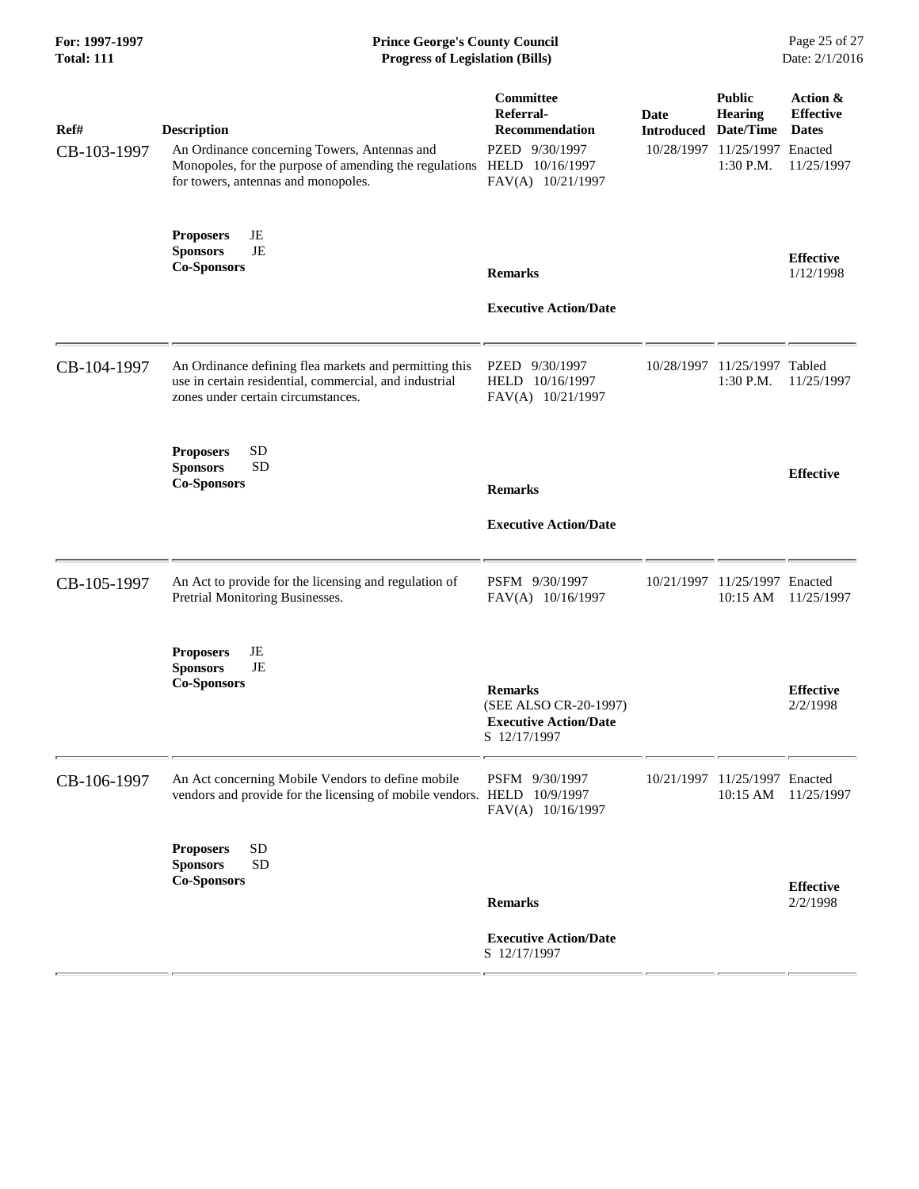| For: 1997-1997<br><b>Total: 111</b> | <b>Prince George's County Council</b><br><b>Progress of Legislation (Bills)</b>                                                                                     |                                                                                                                  |                           |                                                                                              | Page 25 of 27<br>Date: 2/1/2016                            |
|-------------------------------------|---------------------------------------------------------------------------------------------------------------------------------------------------------------------|------------------------------------------------------------------------------------------------------------------|---------------------------|----------------------------------------------------------------------------------------------|------------------------------------------------------------|
| Ref#<br>CB-103-1997                 | <b>Description</b><br>An Ordinance concerning Towers, Antennas and<br>Monopoles, for the purpose of amending the regulations<br>for towers, antennas and monopoles. | <b>Committee</b><br>Referral-<br><b>Recommendation</b><br>PZED 9/30/1997<br>HELD 10/16/1997<br>FAV(A) 10/21/1997 | Date<br><b>Introduced</b> | <b>Public</b><br><b>Hearing</b><br>Date/Time<br>10/28/1997 11/25/1997 Enacted<br>$1:30$ P.M. | Action &<br><b>Effective</b><br><b>Dates</b><br>11/25/1997 |
|                                     | JE<br><b>Proposers</b><br>JE<br><b>Sponsors</b><br><b>Co-Sponsors</b>                                                                                               | <b>Remarks</b><br><b>Executive Action/Date</b>                                                                   |                           |                                                                                              | <b>Effective</b><br>1/12/1998                              |
| CB-104-1997                         | An Ordinance defining flea markets and permitting this<br>use in certain residential, commercial, and industrial<br>zones under certain circumstances.              | PZED 9/30/1997<br>HELD 10/16/1997<br>FAV(A) 10/21/1997                                                           |                           | 10/28/1997 11/25/1997 Tabled<br>$1:30$ P.M.                                                  | 11/25/1997                                                 |
|                                     | <b>SD</b><br><b>Proposers</b><br><b>SD</b><br><b>Sponsors</b><br><b>Co-Sponsors</b>                                                                                 | <b>Remarks</b><br><b>Executive Action/Date</b>                                                                   |                           |                                                                                              | <b>Effective</b>                                           |
| CB-105-1997                         | An Act to provide for the licensing and regulation of<br>Pretrial Monitoring Businesses.                                                                            | PSFM 9/30/1997<br>FAV(A) 10/16/1997                                                                              |                           | 10/21/1997 11/25/1997 Enacted<br>$10:15$ AM                                                  | 11/25/1997                                                 |
|                                     | JE<br><b>Proposers</b><br><b>Sponsors</b><br>JE<br><b>Co-Sponsors</b>                                                                                               | <b>Remarks</b><br>(SEE ALSO CR-20-1997)<br><b>Executive Action/Date</b><br>S 12/17/1997                          |                           |                                                                                              | <b>Effective</b><br>2/2/1998                               |
| CB-106-1997                         | An Act concerning Mobile Vendors to define mobile<br>vendors and provide for the licensing of mobile vendors. HELD 10/9/1997                                        | PSFM 9/30/1997<br>FAV(A) 10/16/1997                                                                              |                           | 10/21/1997 11/25/1997 Enacted<br>$10:15 \text{ AM}$                                          | 11/25/1997                                                 |
|                                     | <b>SD</b><br><b>Proposers</b><br><b>SD</b><br><b>Sponsors</b><br><b>Co-Sponsors</b>                                                                                 | <b>Remarks</b><br><b>Executive Action/Date</b><br>S 12/17/1997                                                   |                           |                                                                                              | <b>Effective</b><br>2/2/1998                               |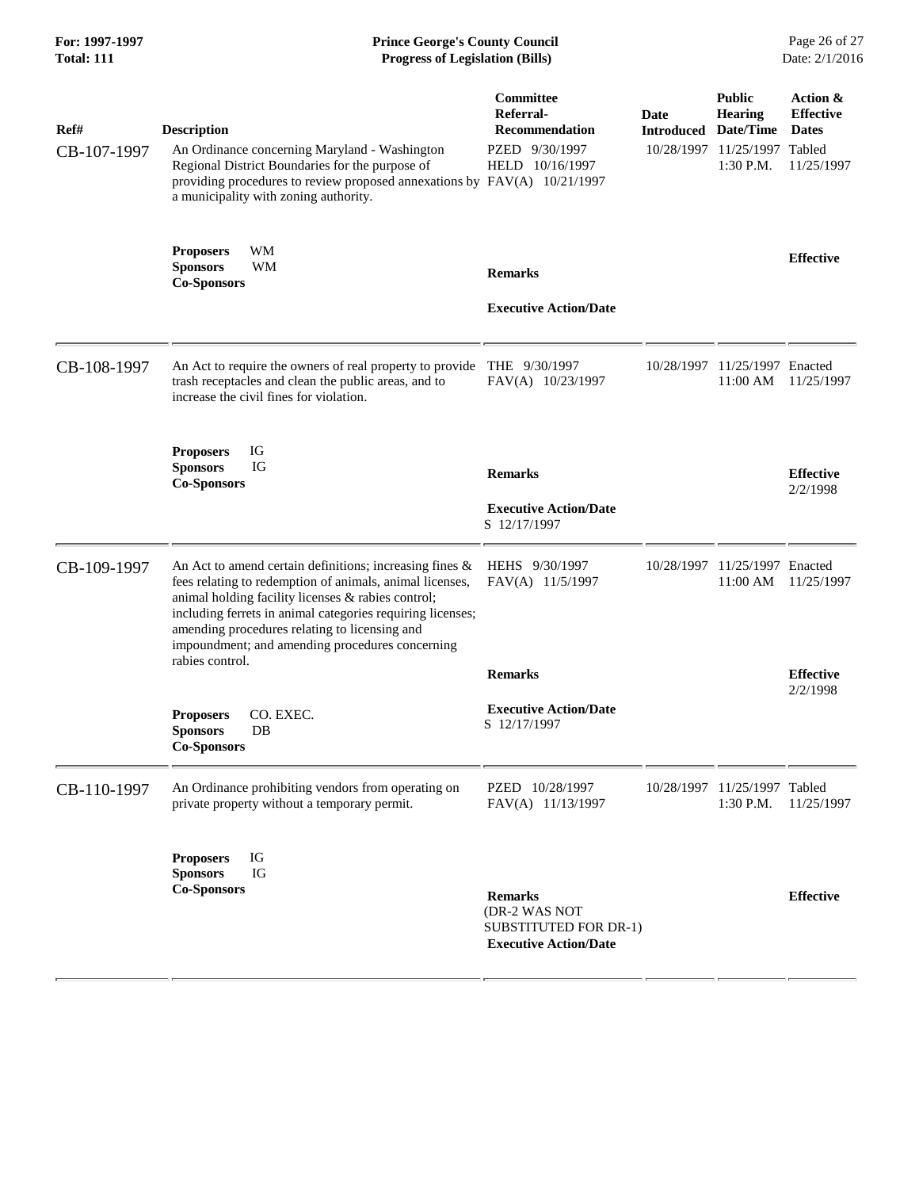### **For: 1997-1997 Prince George's County Council** Page 26 of 27<br> **Prince George's County Council** Page 26 of 27<br> **Progress of Legislation (Bills)** Date: 2/1/2016 **Total: 111 Progress of Legislation (Bills)**

| Ref#        | <b>Description</b>                                                                                                                                                                                                                                                                                                                          | Committee<br>Referral-<br><b>Recommendation</b>                                          | <b>Date</b><br><b>Introduced</b> | <b>Public</b><br>Hearing<br>Date/Time       | Action &<br><b>Effective</b><br><b>Dates</b> |  |
|-------------|---------------------------------------------------------------------------------------------------------------------------------------------------------------------------------------------------------------------------------------------------------------------------------------------------------------------------------------------|------------------------------------------------------------------------------------------|----------------------------------|---------------------------------------------|----------------------------------------------|--|
| CB-107-1997 | An Ordinance concerning Maryland - Washington<br>Regional District Boundaries for the purpose of<br>providing procedures to review proposed annexations by FAV(A) 10/21/1997<br>a municipality with zoning authority.                                                                                                                       | PZED 9/30/1997<br>HELD 10/16/1997                                                        |                                  | 10/28/1997 11/25/1997 Tabled<br>1:30 P.M.   | 11/25/1997                                   |  |
|             | WM<br><b>Proposers</b><br><b>WM</b><br><b>Sponsors</b><br><b>Co-Sponsors</b>                                                                                                                                                                                                                                                                | <b>Remarks</b>                                                                           |                                  |                                             | <b>Effective</b>                             |  |
|             |                                                                                                                                                                                                                                                                                                                                             | <b>Executive Action/Date</b>                                                             |                                  |                                             |                                              |  |
| CB-108-1997 | An Act to require the owners of real property to provide<br>trash receptacles and clean the public areas, and to<br>increase the civil fines for violation.                                                                                                                                                                                 | THE 9/30/1997<br>FAV(A) 10/23/1997                                                       |                                  | 10/28/1997 11/25/1997 Enacted<br>11:00 AM   | 11/25/1997                                   |  |
|             | <b>Proposers</b><br>IG<br>IG<br><b>Sponsors</b><br><b>Co-Sponsors</b>                                                                                                                                                                                                                                                                       | <b>Remarks</b>                                                                           |                                  |                                             | <b>Effective</b><br>2/2/1998                 |  |
|             |                                                                                                                                                                                                                                                                                                                                             | <b>Executive Action/Date</b><br>S 12/17/1997                                             |                                  |                                             |                                              |  |
| CB-109-1997 | An Act to amend certain definitions; increasing fines &<br>fees relating to redemption of animals, animal licenses,<br>animal holding facility licenses & rabies control;<br>including ferrets in animal categories requiring licenses;<br>amending procedures relating to licensing and<br>impoundment; and amending procedures concerning | HEHS 9/30/1997<br>FAV(A) 11/5/1997                                                       |                                  | 10/28/1997 11/25/1997 Enacted<br>11:00 AM   | 11/25/1997                                   |  |
|             | rabies control.                                                                                                                                                                                                                                                                                                                             | <b>Remarks</b>                                                                           |                                  |                                             | <b>Effective</b><br>2/2/1998                 |  |
|             | CO. EXEC.<br><b>Proposers</b><br><b>Sponsors</b><br>$DB$<br><b>Co-Sponsors</b>                                                                                                                                                                                                                                                              | <b>Executive Action/Date</b><br>S 12/17/1997                                             |                                  |                                             |                                              |  |
| CB-110-1997 | An Ordinance prohibiting vendors from operating on<br>private property without a temporary permit.                                                                                                                                                                                                                                          | PZED 10/28/1997<br>FAV(A) 11/13/1997                                                     |                                  | 10/28/1997 11/25/1997 Tabled<br>$1:30$ P.M. | 11/25/1997                                   |  |
|             | <b>Proposers</b><br>IG<br>IG<br><b>Sponsors</b><br><b>Co-Sponsors</b>                                                                                                                                                                                                                                                                       | <b>Remarks</b><br>(DR-2 WAS NOT<br>SUBSTITUTED FOR DR-1)<br><b>Executive Action/Date</b> |                                  |                                             | <b>Effective</b>                             |  |